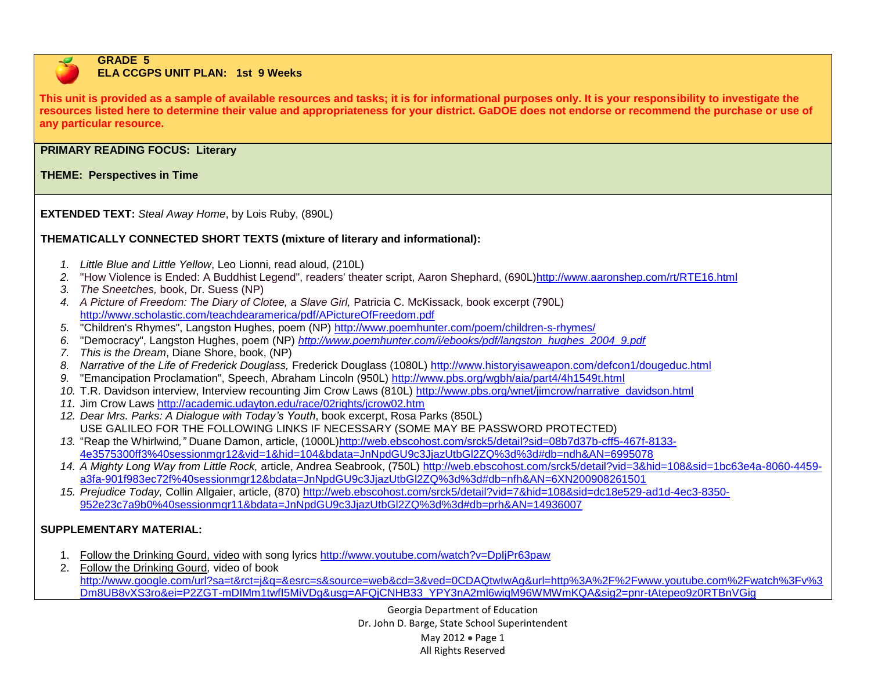

#### **GRADE 5 ELA CCGPS UNIT PLAN: 1st 9 Weeks**

**This unit is provided as a sample of available resources and tasks; it is for informational purposes only. It is your responsibility to investigate the resources listed here to determine their value and appropriateness for your district. GaDOE does not endorse or recommend the purchase or use of any particular resource.**

### **PRIMARY READING FOCUS: Literary**

**THEME: Perspectives in Time**

**EXTENDED TEXT:** *Steal Away Home*, by Lois Ruby, (890L)

# **THEMATICALLY CONNECTED SHORT TEXTS (mixture of literary and informational):**

- *1. Little Blue and Little Yellow*, Leo Lionni, read aloud, (210L)
- *2.* "How Violence is Ended: A Buddhist Legend", readers' theater script, Aaron Shephard, (690L[\)http://www.aaronshep.com/rt/RTE16.html](http://www.aaronshep.com/rt/RTE16.html)
- *3. The Sneetches,* book, Dr. Suess (NP)
- 4. A Picture of Freedom: The Diary of Clotee, a Slave Girl, Patricia C. McKissack, book excerpt (790L) <http://www.scholastic.com/teachdearamerica/pdf/APictureOfFreedom.pdf>
- *5.* "Children's Rhymes", Langston Hughes, poem (NP)<http://www.poemhunter.com/poem/children-s-rhymes/>
- *6.* "Democracy", Langston Hughes, poem (NP) *[http://www.poemhunter.com/i/ebooks/pdf/langston\\_hughes\\_2004\\_9.pdf](http://www.poemhunter.com/i/ebooks/pdf/langston_hughes_2004_9.pdf)*
- *7. This is the Dream*, Diane Shore, book, (NP)
- *8. Narrative of the Life of Frederick Douglass,* Frederick Douglass (1080L)<http://www.historyisaweapon.com/defcon1/dougeduc.html>
- *9.* "Emancipation Proclamation", Speech, Abraham Lincoln (950L)<http://www.pbs.org/wgbh/aia/part4/4h1549t.html>
- *10.* T.R. Davidson interview, Interview recounting Jim Crow Laws (810L) [http://www.pbs.org/wnet/jimcrow/narrative\\_davidson.html](http://www.pbs.org/wnet/jimcrow/narrative_davidson.html)
- *11.* Jim Crow Laws<http://academic.udayton.edu/race/02rights/jcrow02.htm>
- *12. Dear Mrs. Parks: A Dialogue with Today's Youth*, book excerpt, Rosa Parks (850L) USE GALILEO FOR THE FOLLOWING LINKS IF NECESSARY (SOME MAY BE PASSWORD PROTECTED)
- *13.* "Reap the Whirlwind*,"* Duane Damon, article, (1000L[\)http://web.ebscohost.com/srck5/detail?sid=08b7d37b-cff5-467f-8133-](http://web.ebscohost.com/srck5/detail?sid=08b7d37b-cff5-467f-8133-4e3575300ff3%40sessionmgr12&vid=1&hid=104&bdata=JnNpdGU9c3JjazUtbGl2ZQ%3d%3d#db=ndh&AN=6995078) [4e3575300ff3%40sessionmgr12&vid=1&hid=104&bdata=JnNpdGU9c3JjazUtbGl2ZQ%3d%3d#db=ndh&AN=6995078](http://web.ebscohost.com/srck5/detail?sid=08b7d37b-cff5-467f-8133-4e3575300ff3%40sessionmgr12&vid=1&hid=104&bdata=JnNpdGU9c3JjazUtbGl2ZQ%3d%3d#db=ndh&AN=6995078)
- *14. A Mighty Long Way from Little Rock,* article, Andrea Seabrook, (750L) [http://web.ebscohost.com/srck5/detail?vid=3&hid=108&sid=1bc63e4a-8060-4459](http://web.ebscohost.com/srck5/detail?vid=3&hid=108&sid=1bc63e4a-8060-4459-a3fa-901f983ec72f%40sessionmgr12&bdata=JnNpdGU9c3JjazUtbGl2ZQ%3d%3d#db=nfh&AN=6XN200908261501) [a3fa-901f983ec72f%40sessionmgr12&bdata=JnNpdGU9c3JjazUtbGl2ZQ%3d%3d#db=nfh&AN=6XN200908261501](http://web.ebscohost.com/srck5/detail?vid=3&hid=108&sid=1bc63e4a-8060-4459-a3fa-901f983ec72f%40sessionmgr12&bdata=JnNpdGU9c3JjazUtbGl2ZQ%3d%3d#db=nfh&AN=6XN200908261501)
- *15. Prejudice Today,* Collin Allgaier, article, (870) [http://web.ebscohost.com/srck5/detail?vid=7&hid=108&sid=dc18e529-ad1d-4ec3-8350-](http://web.ebscohost.com/srck5/detail?vid=7&hid=108&sid=dc18e529-ad1d-4ec3-8350-952e23c7a9b0%40sessionmgr11&bdata=JnNpdGU9c3JjazUtbGl2ZQ%3d%3d#db=prh&AN=14936007) [952e23c7a9b0%40sessionmgr11&bdata=JnNpdGU9c3JjazUtbGl2ZQ%3d%3d#db=prh&AN=14936007](http://web.ebscohost.com/srck5/detail?vid=7&hid=108&sid=dc18e529-ad1d-4ec3-8350-952e23c7a9b0%40sessionmgr11&bdata=JnNpdGU9c3JjazUtbGl2ZQ%3d%3d#db=prh&AN=14936007)

# **SUPPLEMENTARY MATERIAL:**

- 1. Follow the Drinking Gourd*,* video with song lyrics<http://www.youtube.com/watch?v=DpIjPr63paw>
- 2. Follow the Drinking Gourd*,* video of book [http://www.google.com/url?sa=t&rct=j&q=&esrc=s&source=web&cd=3&ved=0CDAQtwIwAg&url=http%3A%2F%2Fwww.youtube.com%2Fwatch%3Fv%3](http://www.google.com/url?sa=t&rct=j&q=&esrc=s&source=web&cd=3&ved=0CDAQtwIwAg&url=http%3A%2F%2Fwww.youtube.com%2Fwatch%3Fv%3Dm8UB8vXS3ro&ei=P2ZGT-mDIMm1twfI5MiVDg&usg=AFQjCNHB33_YPY3nA2ml6wiqM96WMWmKQA&sig2=pnr-tAtepeo9z0RTBnVGig) [Dm8UB8vXS3ro&ei=P2ZGT-mDIMm1twfI5MiVDg&usg=AFQjCNHB33\\_YPY3nA2ml6wiqM96WMWmKQA&sig2=pnr-tAtepeo9z0RTBnVGig](http://www.google.com/url?sa=t&rct=j&q=&esrc=s&source=web&cd=3&ved=0CDAQtwIwAg&url=http%3A%2F%2Fwww.youtube.com%2Fwatch%3Fv%3Dm8UB8vXS3ro&ei=P2ZGT-mDIMm1twfI5MiVDg&usg=AFQjCNHB33_YPY3nA2ml6wiqM96WMWmKQA&sig2=pnr-tAtepeo9z0RTBnVGig)

Georgia Department of Education Dr. John D. Barge, State School Superintendent May 2012 • Page 1 All Rights Reserved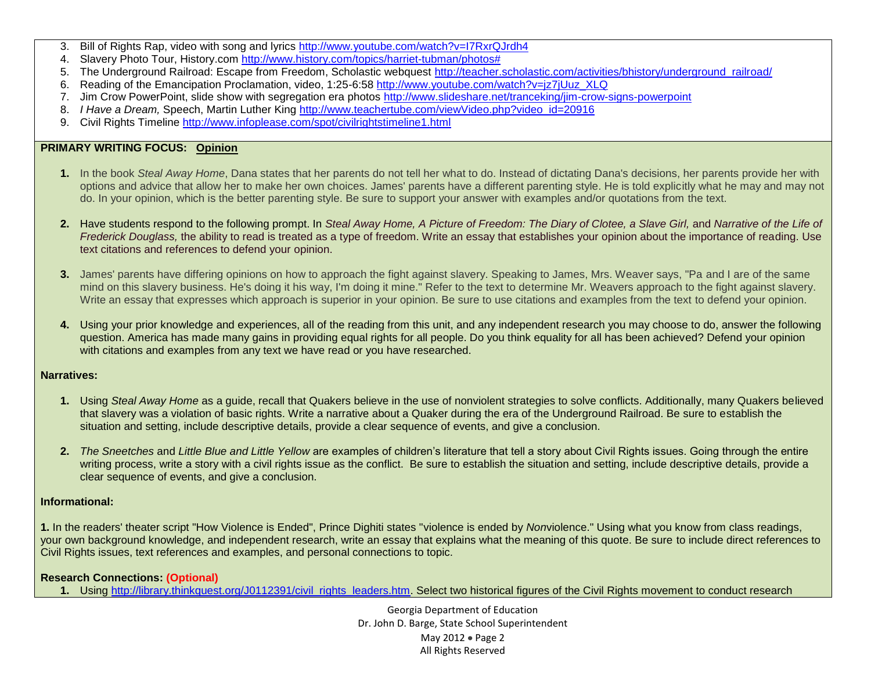- 3. Bill of Rights Rap, video with song and lyrics<http://www.youtube.com/watch?v=I7RxrQJrdh4>
- 4. Slavery Photo Tour, History.com [http://www.history.com/topics/harriet-tubman/photos#](http://www.history.com/topics/harriet-tubman/photos)
- 5. The Underground Railroad: Escape from Freedom, Scholastic webquest [http://teacher.scholastic.com/activities/bhistory/underground\\_railroad/](http://teacher.scholastic.com/activities/bhistory/underground_railroad/)
- 6. Reading of the Emancipation Proclamation, video, 1:25-6:58 [http://www.youtube.com/watch?v=jz7jUuz\\_XLQ](http://www.youtube.com/watch?v=jz7jUuz_XLQ)
- 7. Jim Crow PowerPoint, slide show with segregation era photos<http://www.slideshare.net/tranceking/jim-crow-signs-powerpoint>
- 8. *I Have a Dream, Speech, Martin Luther King [http://www.teachertube.com/viewVideo.php?video\\_id=20916](http://www.teachertube.com/viewVideo.php?video_id=20916)*
- 9. Civil Rights Timeline http://www.infoplease.com/spot/civilrightstimeline1.html

#### **PRIMARY WRITING FOCUS: Opinion**

- **1.** In the book *Steal Away Home*, Dana states that her parents do not tell her what to do. Instead of dictating Dana's decisions, her parents provide her with options and advice that allow her to make her own choices. James' parents have a different parenting style. He is told explicitly what he may and may not do. In your opinion, which is the better parenting style. Be sure to support your answer with examples and/or quotations from the text.
- **2.** Have students respond to the following prompt. In *Steal Away Home, A Picture of Freedom: The Diary of Clotee, a Slave Girl, and Narrative of the Life of Frederick Douglass,* the ability to read is treated as a type of freedom. Write an essay that establishes your opinion about the importance of reading. Use text citations and references to defend your opinion.
- **3.** James' parents have differing opinions on how to approach the fight against slavery. Speaking to James, Mrs. Weaver says, "Pa and I are of the same mind on this slavery business. He's doing it his way, I'm doing it mine." Refer to the text to determine Mr. Weavers approach to the fight against slavery. Write an essay that expresses which approach is superior in your opinion. Be sure to use citations and examples from the text to defend your opinion.
- **4.** Using your prior knowledge and experiences, all of the reading from this unit, and any independent research you may choose to do, answer the following question. America has made many gains in providing equal rights for all people. Do you think equality for all has been achieved? Defend your opinion with citations and examples from any text we have read or you have researched.

### **Narratives:**

- **1.** Using *Steal Away Home* as a guide, recall that Quakers believe in the use of nonviolent strategies to solve conflicts. Additionally, many Quakers believed that slavery was a violation of basic rights. Write a narrative about a Quaker during the era of the Underground Railroad. Be sure to establish the situation and setting, include descriptive details, provide a clear sequence of events, and give a conclusion.
- **2.** *The Sneetches* and *Little Blue and Little Yellow* are examples of children's literature that tell a story about Civil Rights issues. Going through the entire writing process, write a story with a civil rights issue as the conflict. Be sure to establish the situation and setting, include descriptive details, provide a clear sequence of events, and give a conclusion.

### **Informational:**

**1.** In the readers' theater script "How Violence is Ended", Prince Dighiti states "violence is ended by *Non*violence." Using what you know from class readings, your own background knowledge, and independent research, write an essay that explains what the meaning of this quote. Be sure to include direct references to Civil Rights issues, text references and examples, and personal connections to topic.

#### **Research Connections: (Optional)**

1. Using [http://library.thinkquest.org/J0112391/civil\\_rights\\_leaders.htm.](http://library.thinkquest.org/J0112391/civil_rights_leaders.htm) Select two historical figures of the Civil Rights movement to conduct research

Georgia Department of Education Dr. John D. Barge, State School Superintendent May 2012 Page 2 All Rights Reserved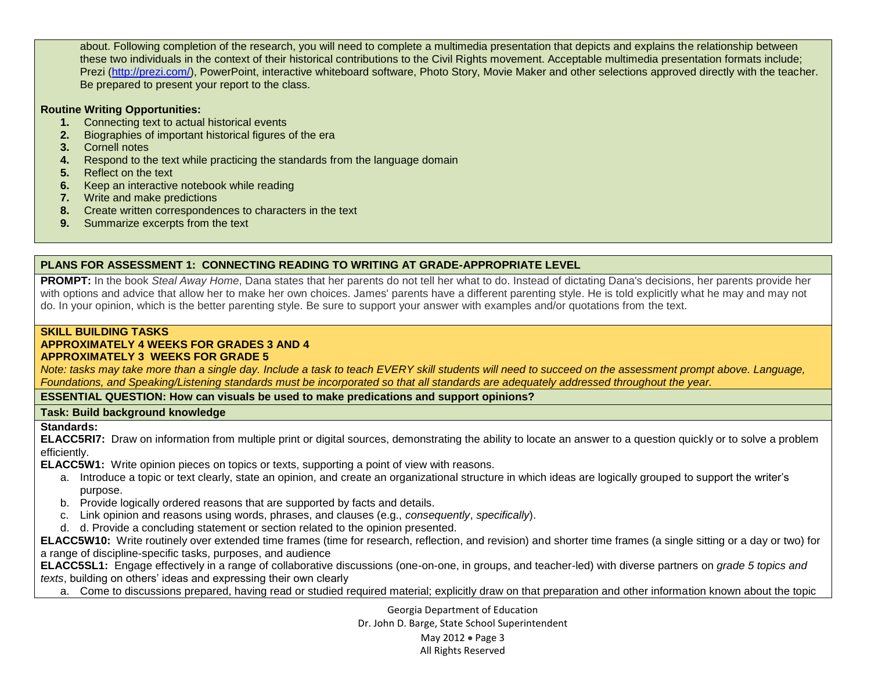about. Following completion of the research, you will need to complete a multimedia presentation that depicts and explains the relationship between these two individuals in the context of their historical contributions to the Civil Rights movement. Acceptable multimedia presentation formats include; Prezi [\(http://prezi.com/\)](http://prezi.com/), PowerPoint, interactive whiteboard software, Photo Story, Movie Maker and other selections approved directly with the teacher. Be prepared to present your report to the class.

#### **Routine Writing Opportunities:**

- **1.** Connecting text to actual historical events
- **2.** Biographies of important historical figures of the era
- **3.** Cornell notes
- **4.** Respond to the text while practicing the standards from the language domain
- **5.** Reflect on the text
- **6.** Keep an interactive notebook while reading
- **7.** Write and make predictions
- **8.** Create written correspondences to characters in the text
- **9.** Summarize excerpts from the text

### **PLANS FOR ASSESSMENT 1: CONNECTING READING TO WRITING AT GRADE-APPROPRIATE LEVEL**

**PROMPT:** In the book *Steal Away Home*, Dana states that her parents do not tell her what to do. Instead of dictating Dana's decisions, her parents provide her with options and advice that allow her to make her own choices. James' parents have a different parenting style. He is told explicitly what he may and may not do. In your opinion, which is the better parenting style. Be sure to support your answer with examples and/or quotations from the text.

#### **SKILL BUILDING TASKS**

#### **APPROXIMATELY 4 WEEKS FOR GRADES 3 AND 4**

#### **APPROXIMATELY 3 WEEKS FOR GRADE 5**

*Note: tasks may take more than a single day. Include a task to teach EVERY skill students will need to succeed on the assessment prompt above. Language, Foundations, and Speaking/Listening standards must be incorporated so that all standards are adequately addressed throughout the year.* 

### **ESSENTIAL QUESTION: How can visuals be used to make predications and support opinions?**

#### **Task: Build background knowledge**

#### **Standards:**

**ELACC5RI7:** Draw on information from multiple print or digital sources, demonstrating the ability to locate an answer to a question quickly or to solve a problem efficiently.

**ELACC5W1:** Write opinion pieces on topics or texts, supporting a point of view with reasons.

- a. Introduce a topic or text clearly, state an opinion, and create an organizational structure in which ideas are logically grouped to support the writer's purpose.
- b. Provide logically ordered reasons that are supported by facts and details.
- c. Link opinion and reasons using words, phrases, and clauses (e.g., *consequently*, *specifically*).
- d. d. Provide a concluding statement or section related to the opinion presented.

**ELACC5W10:** Write routinely over extended time frames (time for research, reflection, and revision) and shorter time frames (a single sitting or a day or two) for a range of discipline-specific tasks, purposes, and audience

**ELACC5SL1:** Engage effectively in a range of collaborative discussions (one-on-one, in groups, and teacher-led) with diverse partners on *grade 5 topics and texts*, building on others' ideas and expressing their own clearly

a. Come to discussions prepared, having read or studied required material; explicitly draw on that preparation and other information known about the topic

Georgia Department of Education Dr. John D. Barge, State School Superintendent May  $2012 \bullet$  Page 3

#### All Rights Reserved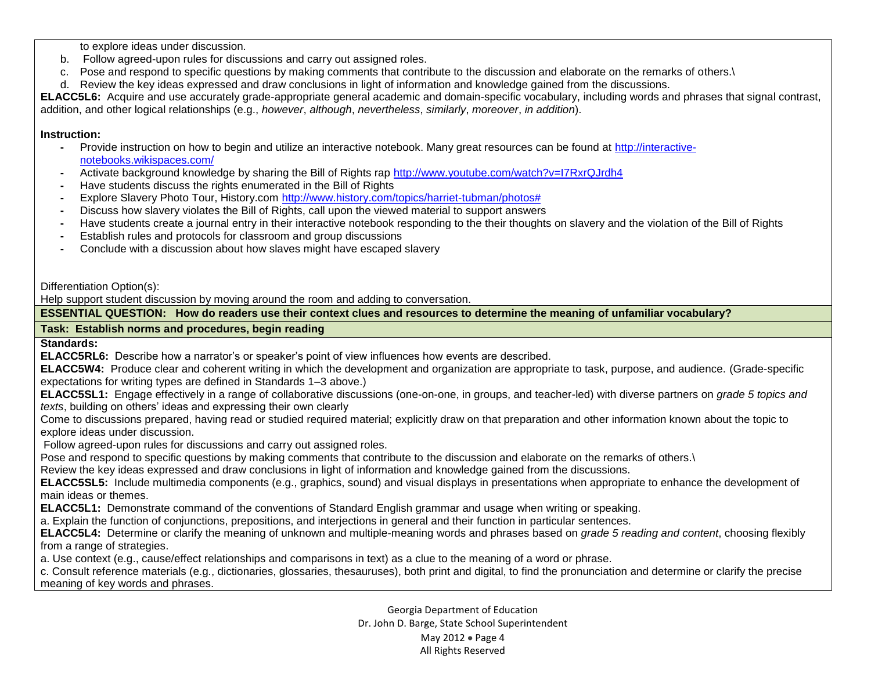to explore ideas under discussion.

- b. Follow agreed-upon rules for discussions and carry out assigned roles.
- c. Pose and respond to specific questions by making comments that contribute to the discussion and elaborate on the remarks of others.\
- d. Review the key ideas expressed and draw conclusions in light of information and knowledge gained from the discussions.

**ELACC5L6:** Acquire and use accurately grade-appropriate general academic and domain-specific vocabulary, including words and phrases that signal contrast, addition, and other logical relationships (e.g., *however*, *although*, *nevertheless*, *similarly*, *moreover*, *in addition*).

### **Instruction:**

- **-** Provide instruction on how to begin and utilize an interactive notebook. Many great resources can be found at [http://interactive](http://interactive-notebooks.wikispaces.com/)[notebooks.wikispaces.com/](http://interactive-notebooks.wikispaces.com/)
- **-** Activate background knowledge by sharing the Bill of Rights rap<http://www.youtube.com/watch?v=I7RxrQJrdh4>
- **-** Have students discuss the rights enumerated in the Bill of Rights
- **-** Explore Slavery Photo Tour, History.com [http://www.history.com/topics/harriet-tubman/photos#](http://www.history.com/topics/harriet-tubman/photos)
- **-** Discuss how slavery violates the Bill of Rights, call upon the viewed material to support answers
- **-** Have students create a journal entry in their interactive notebook responding to the their thoughts on slavery and the violation of the Bill of Rights
- **-** Establish rules and protocols for classroom and group discussions
- **-** Conclude with a discussion about how slaves might have escaped slavery

Differentiation Option(s):

Help support student discussion by moving around the room and adding to conversation.

**ESSENTIAL QUESTION: How do readers use their context clues and resources to determine the meaning of unfamiliar vocabulary?**

**Task: Establish norms and procedures, begin reading**

**Standards:**

**ELACC5RL6:** Describe how a narrator's or speaker's point of view influences how events are described.

**ELACC5W4:** Produce clear and coherent writing in which the development and organization are appropriate to task, purpose, and audience. (Grade-specific expectations for writing types are defined in Standards 1–3 above.)

**ELACC5SL1:** Engage effectively in a range of collaborative discussions (one-on-one, in groups, and teacher-led) with diverse partners on *grade 5 topics and texts*, building on others' ideas and expressing their own clearly

Come to discussions prepared, having read or studied required material; explicitly draw on that preparation and other information known about the topic to explore ideas under discussion.

Follow agreed-upon rules for discussions and carry out assigned roles.

Pose and respond to specific questions by making comments that contribute to the discussion and elaborate on the remarks of others.

Review the key ideas expressed and draw conclusions in light of information and knowledge gained from the discussions.

**ELACC5SL5:** Include multimedia components (e.g., graphics, sound) and visual displays in presentations when appropriate to enhance the development of main ideas or themes.

**ELACC5L1:** Demonstrate command of the conventions of Standard English grammar and usage when writing or speaking.

a. Explain the function of conjunctions, prepositions, and interjections in general and their function in particular sentences.

**ELACC5L4:** Determine or clarify the meaning of unknown and multiple-meaning words and phrases based on *grade 5 reading and content*, choosing flexibly from a range of strategies.

a. Use context (e.g., cause/effect relationships and comparisons in text) as a clue to the meaning of a word or phrase.

c. Consult reference materials (e.g., dictionaries, glossaries, thesauruses), both print and digital, to find the pronunciation and determine or clarify the precise meaning of key words and phrases.

> Georgia Department of Education Dr. John D. Barge, State School Superintendent May 2012 Page 4 All Rights Reserved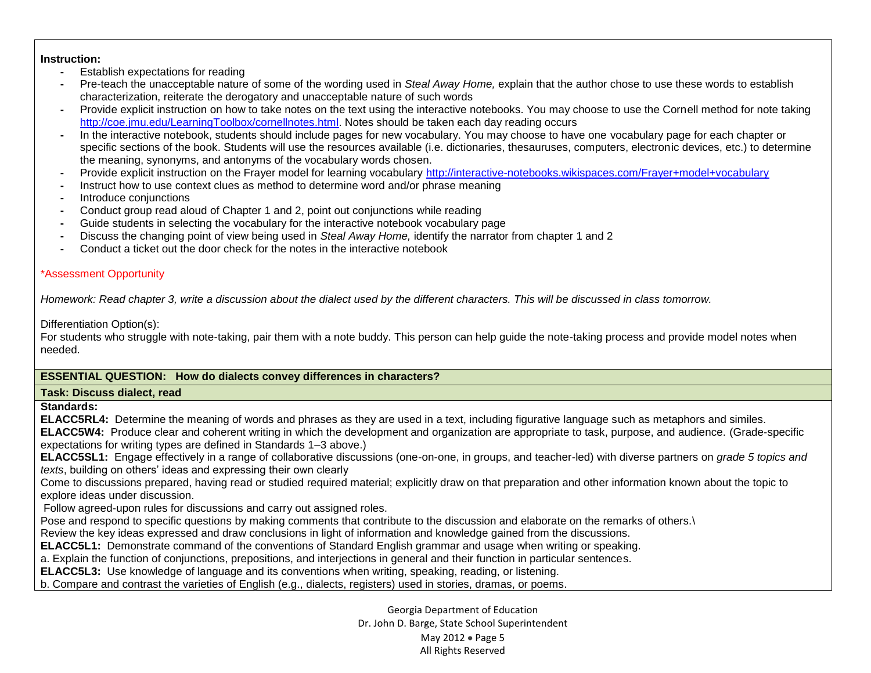#### **Instruction:**

- **-** Establish expectations for reading
- **-** Pre-teach the unacceptable nature of some of the wording used in *Steal Away Home,* explain that the author chose to use these words to establish characterization, reiterate the derogatory and unacceptable nature of such words
- **-** Provide explicit instruction on how to take notes on the text using the interactive notebooks. You may choose to use the Cornell method for note taking [http://coe.jmu.edu/LearningToolbox/cornellnotes.html.](http://coe.jmu.edu/LearningToolbox/cornellnotes.html) Notes should be taken each day reading occurs
- **-** In the interactive notebook, students should include pages for new vocabulary. You may choose to have one vocabulary page for each chapter or specific sections of the book. Students will use the resources available (i.e. dictionaries, thesauruses, computers, electronic devices, etc.) to determine the meaning, synonyms, and antonyms of the vocabulary words chosen.
- **-** Provide explicit instruction on the Frayer model for learning vocabulary<http://interactive-notebooks.wikispaces.com/Frayer+model+vocabulary>
- **-** Instruct how to use context clues as method to determine word and/or phrase meaning
- **-** Introduce conjunctions
- **-** Conduct group read aloud of Chapter 1 and 2, point out conjunctions while reading
- **-** Guide students in selecting the vocabulary for the interactive notebook vocabulary page
- **-** Discuss the changing point of view being used in *Steal Away Home,* identify the narrator from chapter 1 and 2
- **-** Conduct a ticket out the door check for the notes in the interactive notebook

#### \*Assessment Opportunity

*Homework: Read chapter 3, write a discussion about the dialect used by the different characters. This will be discussed in class tomorrow.*

Differentiation Option(s):

For students who struggle with note-taking, pair them with a note buddy. This person can help guide the note-taking process and provide model notes when needed.

#### **ESSENTIAL QUESTION: How do dialects convey differences in characters?**

#### **Task: Discuss dialect, read**

**Standards:** 

**ELACC5RL4:** Determine the meaning of words and phrases as they are used in a text, including figurative language such as metaphors and similes.

**ELACC5W4:** Produce clear and coherent writing in which the development and organization are appropriate to task, purpose, and audience. (Grade-specific expectations for writing types are defined in Standards 1–3 above.)

**ELACC5SL1:** Engage effectively in a range of collaborative discussions (one-on-one, in groups, and teacher-led) with diverse partners on *grade 5 topics and texts*, building on others' ideas and expressing their own clearly

Come to discussions prepared, having read or studied required material; explicitly draw on that preparation and other information known about the topic to explore ideas under discussion.

Follow agreed-upon rules for discussions and carry out assigned roles.

Pose and respond to specific questions by making comments that contribute to the discussion and elaborate on the remarks of others.

Review the key ideas expressed and draw conclusions in light of information and knowledge gained from the discussions.

**ELACC5L1:** Demonstrate command of the conventions of Standard English grammar and usage when writing or speaking.

a. Explain the function of conjunctions, prepositions, and interjections in general and their function in particular sentences.

**ELACC5L3:** Use knowledge of language and its conventions when writing, speaking, reading, or listening.

b. Compare and contrast the varieties of English (e.g., dialects, registers) used in stories, dramas, or poems.

Georgia Department of Education Dr. John D. Barge, State School Superintendent May 2012 • Page 5 All Rights Reserved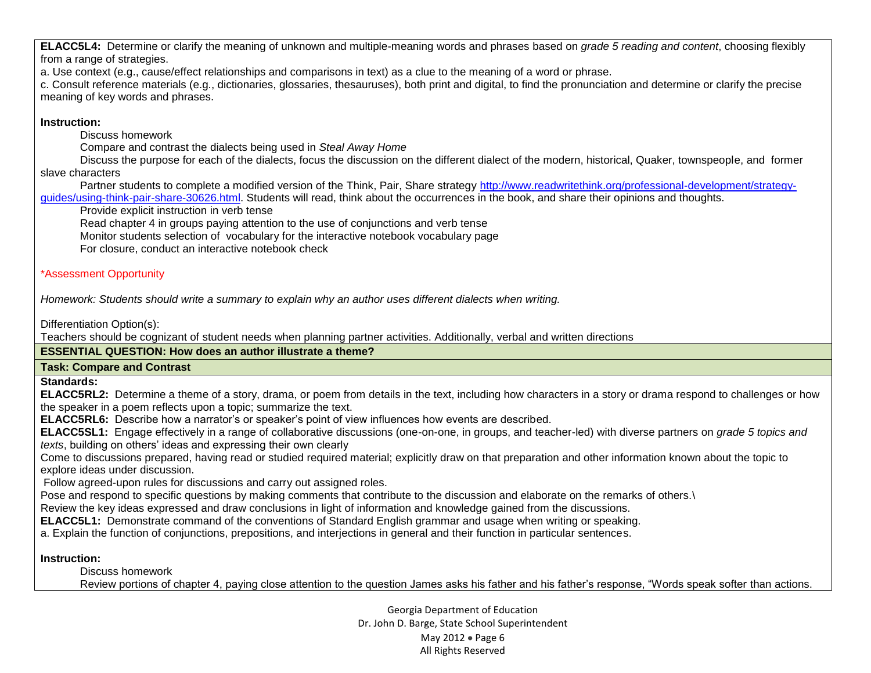**ELACC5L4:** Determine or clarify the meaning of unknown and multiple-meaning words and phrases based on *grade 5 reading and content*, choosing flexibly from a range of strategies.

a. Use context (e.g., cause/effect relationships and comparisons in text) as a clue to the meaning of a word or phrase.

c. Consult reference materials (e.g., dictionaries, glossaries, thesauruses), both print and digital, to find the pronunciation and determine or clarify the precise meaning of key words and phrases.

## **Instruction:**

**-** Discuss homework

**-** Compare and contrast the dialects being used in *Steal Away Home*

**-** Discuss the purpose for each of the dialects, focus the discussion on the different dialect of the modern, historical, Quaker, townspeople, and former slave characters

**-** Partner students to complete a modified version of the Think, Pair, Share strategy [http://www.readwritethink.org/professional-development/strategy](http://www.readwritethink.org/professional-development/strategy-guides/using-think-pair-share-30626.html)[guides/using-think-pair-share-30626.html.](http://www.readwritethink.org/professional-development/strategy-guides/using-think-pair-share-30626.html) Students will read, think about the occurrences in the book, and share their opinions and thoughts.

**-** Provide explicit instruction in verb tense

**-** Read chapter 4 in groups paying attention to the use of conjunctions and verb tense

**-** Monitor students selection of vocabulary for the interactive notebook vocabulary page

**-** For closure, conduct an interactive notebook check

# \*Assessment Opportunity

*Homework: Students should write a summary to explain why an author uses different dialects when writing.* 

Differentiation Option(s):

Teachers should be cognizant of student needs when planning partner activities. Additionally, verbal and written directions

# **ESSENTIAL QUESTION: How does an author illustrate a theme?**

### **Task: Compare and Contrast**

**Standards:**

**ELACC5RL2:** Determine a theme of a story, drama, or poem from details in the text, including how characters in a story or drama respond to challenges or how the speaker in a poem reflects upon a topic; summarize the text.

**ELACC5RL6:** Describe how a narrator's or speaker's point of view influences how events are described.

**ELACC5SL1:** Engage effectively in a range of collaborative discussions (one-on-one, in groups, and teacher-led) with diverse partners on *grade 5 topics and texts*, building on others' ideas and expressing their own clearly

Come to discussions prepared, having read or studied required material; explicitly draw on that preparation and other information known about the topic to explore ideas under discussion.

Follow agreed-upon rules for discussions and carry out assigned roles.

Pose and respond to specific questions by making comments that contribute to the discussion and elaborate on the remarks of others.

Review the key ideas expressed and draw conclusions in light of information and knowledge gained from the discussions.

**ELACC5L1:** Demonstrate command of the conventions of Standard English grammar and usage when writing or speaking.

a. Explain the function of conjunctions, prepositions, and interjections in general and their function in particular sentences.

### **Instruction:**

**-** Discuss homework

**-** Review portions of chapter 4, paying close attention to the question James asks his father and his father's response, "Words speak softer than actions.

Georgia Department of Education Dr. John D. Barge, State School Superintendent May 2012 Page 6 All Rights Reserved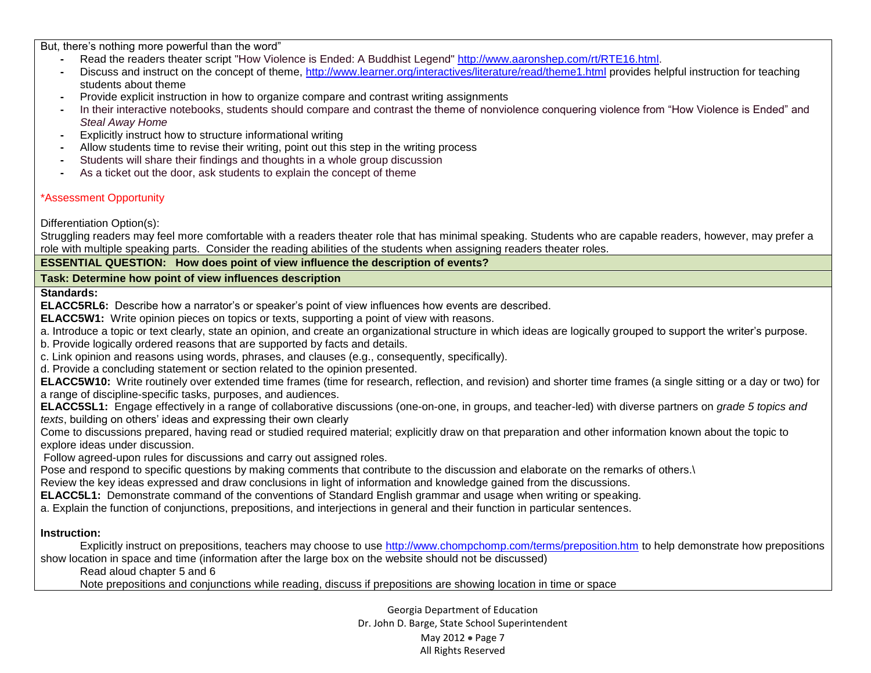But, there's nothing more powerful than the word"

- **-** Read the readers theater script "How Violence is Ended: A Buddhist Legend" [http://www.aaronshep.com/rt/RTE16.html.](http://www.aaronshep.com/rt/RTE16.html)
- **-** Discuss and instruct on the concept of theme,<http://www.learner.org/interactives/literature/read/theme1.html> provides helpful instruction for teaching students about theme
- **-** Provide explicit instruction in how to organize compare and contrast writing assignments
- **-** In their interactive notebooks, students should compare and contrast the theme of nonviolence conquering violence from "How Violence is Ended" and *Steal Away Home*
- **-** Explicitly instruct how to structure informational writing
- **-** Allow students time to revise their writing, point out this step in the writing process
- **-** Students will share their findings and thoughts in a whole group discussion
- **-** As a ticket out the door, ask students to explain the concept of theme

## \*Assessment Opportunity

Differentiation Option(s):

Struggling readers may feel more comfortable with a readers theater role that has minimal speaking. Students who are capable readers, however, may prefer a role with multiple speaking parts. Consider the reading abilities of the students when assigning readers theater roles.

**ESSENTIAL QUESTION: How does point of view influence the description of events?**

**Task: Determine how point of view influences description**

**Standards:**

**ELACC5RL6:** Describe how a narrator's or speaker's point of view influences how events are described.

**ELACC5W1:** Write opinion pieces on topics or texts, supporting a point of view with reasons.

a. Introduce a topic or text clearly, state an opinion, and create an organizational structure in which ideas are logically grouped to support the writer's purpose.

b. Provide logically ordered reasons that are supported by facts and details.

c. Link opinion and reasons using words, phrases, and clauses (e.g., consequently, specifically).

d. Provide a concluding statement or section related to the opinion presented.

**ELACC5W10:** Write routinely over extended time frames (time for research, reflection, and revision) and shorter time frames (a single sitting or a day or two) for a range of discipline-specific tasks, purposes, and audiences.

**ELACC5SL1:** Engage effectively in a range of collaborative discussions (one-on-one, in groups, and teacher-led) with diverse partners on *grade 5 topics and texts*, building on others' ideas and expressing their own clearly

Come to discussions prepared, having read or studied required material; explicitly draw on that preparation and other information known about the topic to explore ideas under discussion.

Follow agreed-upon rules for discussions and carry out assigned roles.

Pose and respond to specific questions by making comments that contribute to the discussion and elaborate on the remarks of others.

Review the key ideas expressed and draw conclusions in light of information and knowledge gained from the discussions.

**ELACC5L1:** Demonstrate command of the conventions of Standard English grammar and usage when writing or speaking.

a. Explain the function of conjunctions, prepositions, and interjections in general and their function in particular sentences.

**Instruction:** 

**-** Explicitly instruct on prepositions, teachers may choose to use<http://www.chompchomp.com/terms/preposition.htm> to help demonstrate how prepositions show location in space and time (information after the large box on the website should not be discussed)

**-** Read aloud chapter 5 and 6

**-** Note prepositions and conjunctions while reading, discuss if prepositions are showing location in time or space

Georgia Department of Education Dr. John D. Barge, State School Superintendent May 2012 • Page 7 All Rights Reserved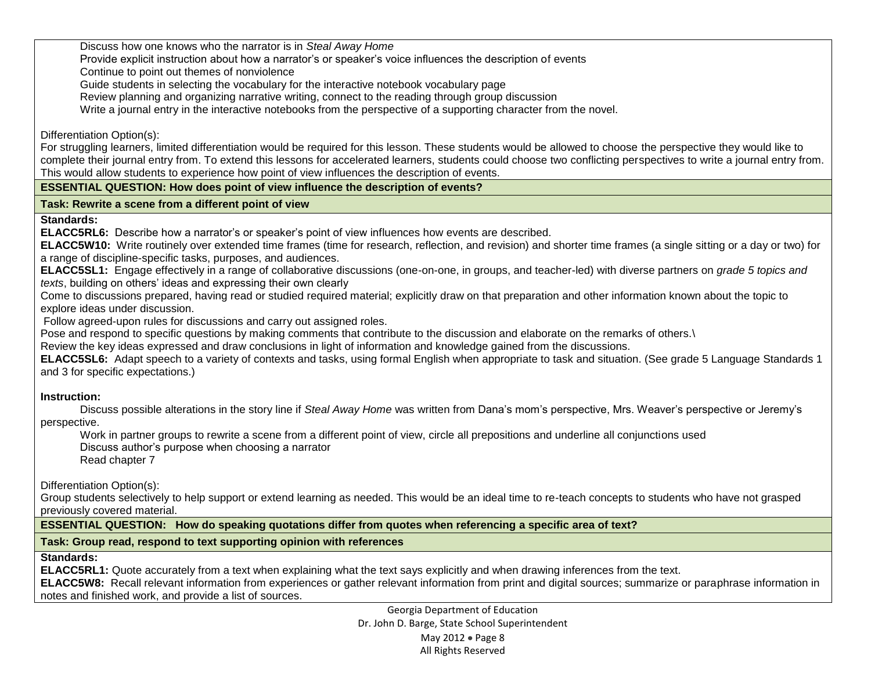**-** Discuss how one knows who the narrator is in *Steal Away Home*

**-** Provide explicit instruction about how a narrator's or speaker's voice influences the description of events

**-** Continue to point out themes of nonviolence

**-** Guide students in selecting the vocabulary for the interactive notebook vocabulary page

**-** Review planning and organizing narrative writing, connect to the reading through group discussion

**-** Write a journal entry in the interactive notebooks from the perspective of a supporting character from the novel.

Differentiation Option(s):

For struggling learners, limited differentiation would be required for this lesson. These students would be allowed to choose the perspective they would like to complete their journal entry from. To extend this lessons for accelerated learners, students could choose two conflicting perspectives to write a journal entry from. This would allow students to experience how point of view influences the description of events.

#### **ESSENTIAL QUESTION: How does point of view influence the description of events?**

#### **Task: Rewrite a scene from a different point of view**

**Standards:** 

**ELACC5RL6:** Describe how a narrator's or speaker's point of view influences how events are described.

**ELACC5W10:** Write routinely over extended time frames (time for research, reflection, and revision) and shorter time frames (a single sitting or a day or two) for a range of discipline-specific tasks, purposes, and audiences.

**ELACC5SL1:** Engage effectively in a range of collaborative discussions (one-on-one, in groups, and teacher-led) with diverse partners on *grade 5 topics and texts*, building on others' ideas and expressing their own clearly

Come to discussions prepared, having read or studied required material; explicitly draw on that preparation and other information known about the topic to explore ideas under discussion.

Follow agreed-upon rules for discussions and carry out assigned roles.

Pose and respond to specific questions by making comments that contribute to the discussion and elaborate on the remarks of others.

Review the key ideas expressed and draw conclusions in light of information and knowledge gained from the discussions.

**ELACC5SL6:** Adapt speech to a variety of contexts and tasks, using formal English when appropriate to task and situation. (See grade 5 Language Standards 1 and 3 for specific expectations.)

### **Instruction:**

**-** Discuss possible alterations in the story line if *Steal Away Home* was written from Dana's mom's perspective, Mrs. Weaver's perspective or Jeremy's perspective.

**-** Work in partner groups to rewrite a scene from a different point of view, circle all prepositions and underline all conjunctions used

**-** Discuss author's purpose when choosing a narrator **-** Read chapter 7

Differentiation Option(s):

Group students selectively to help support or extend learning as needed. This would be an ideal time to re-teach concepts to students who have not grasped previously covered material.

**ESSENTIAL QUESTION: How do speaking quotations differ from quotes when referencing a specific area of text?**

# **Task: Group read, respond to text supporting opinion with references**

### **Standards:**

**ELACC5RL1:** Quote accurately from a text when explaining what the text says explicitly and when drawing inferences from the text.

**ELACC5W8:** Recall relevant information from experiences or gather relevant information from print and digital sources; summarize or paraphrase information in notes and finished work, and provide a list of sources.

> Georgia Department of Education Dr. John D. Barge, State School Superintendent May 2012 Page 8 All Rights Reserved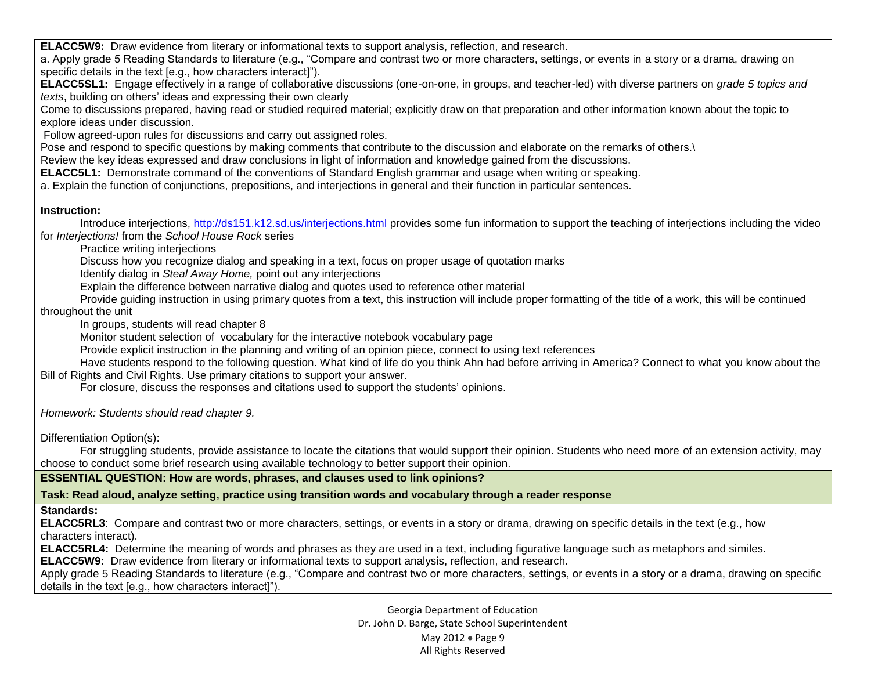**ELACC5W9:** Draw evidence from literary or informational texts to support analysis, reflection, and research.

a. Apply grade 5 Reading Standards to literature (e.g., "Compare and contrast two or more characters, settings, or events in a story or a drama, drawing on specific details in the text [e.g., how characters interact]").

**ELACC5SL1:** Engage effectively in a range of collaborative discussions (one-on-one, in groups, and teacher-led) with diverse partners on *grade 5 topics and texts*, building on others' ideas and expressing their own clearly

Come to discussions prepared, having read or studied required material; explicitly draw on that preparation and other information known about the topic to explore ideas under discussion.

Follow agreed-upon rules for discussions and carry out assigned roles.

Pose and respond to specific questions by making comments that contribute to the discussion and elaborate on the remarks of others.\

Review the key ideas expressed and draw conclusions in light of information and knowledge gained from the discussions.

**ELACC5L1:** Demonstrate command of the conventions of Standard English grammar and usage when writing or speaking.

a. Explain the function of conjunctions, prepositions, and interjections in general and their function in particular sentences.

#### **Instruction:**

**-** Introduce interjections,<http://ds151.k12.sd.us/interjections.html> provides some fun information to support the teaching of interjections including the video for *Interjections!* from the *School House Rock* series

**-** Practice writing interjections

**-** Discuss how you recognize dialog and speaking in a text, focus on proper usage of quotation marks

**-** Identify dialog in *Steal Away Home,* point out any interjections

**-** Explain the difference between narrative dialog and quotes used to reference other material

**-** Provide guiding instruction in using primary quotes from a text, this instruction will include proper formatting of the title of a work, this will be continued throughout the unit

**-** In groups, students will read chapter 8

**-** Monitor student selection of vocabulary for the interactive notebook vocabulary page

**-** Provide explicit instruction in the planning and writing of an opinion piece, connect to using text references

**-** Have students respond to the following question. What kind of life do you think Ahn had before arriving in America? Connect to what you know about the Bill of Rights and Civil Rights. Use primary citations to support your answer.

**-** For closure, discuss the responses and citations used to support the students' opinions.

*Homework: Students should read chapter 9.*

Differentiation Option(s):

**-** For struggling students, provide assistance to locate the citations that would support their opinion. Students who need more of an extension activity, may choose to conduct some brief research using available technology to better support their opinion.

**ESSENTIAL QUESTION: How are words, phrases, and clauses used to link opinions?** 

**Task: Read aloud, analyze setting, practice using transition words and vocabulary through a reader response**

# **Standards:**

**ELACC5RL3**: Compare and contrast two or more characters, settings, or events in a story or drama, drawing on specific details in the text (e.g., how characters interact).

**ELACC5RL4:** Determine the meaning of words and phrases as they are used in a text, including figurative language such as metaphors and similes.

**ELACC5W9:** Draw evidence from literary or informational texts to support analysis, reflection, and research.

Apply grade 5 Reading Standards to literature (e.g., "Compare and contrast two or more characters, settings, or events in a story or a drama, drawing on specific details in the text [e.g., how characters interact]").

> Georgia Department of Education Dr. John D. Barge, State School Superintendent May 2012 • Page 9 All Rights Reserved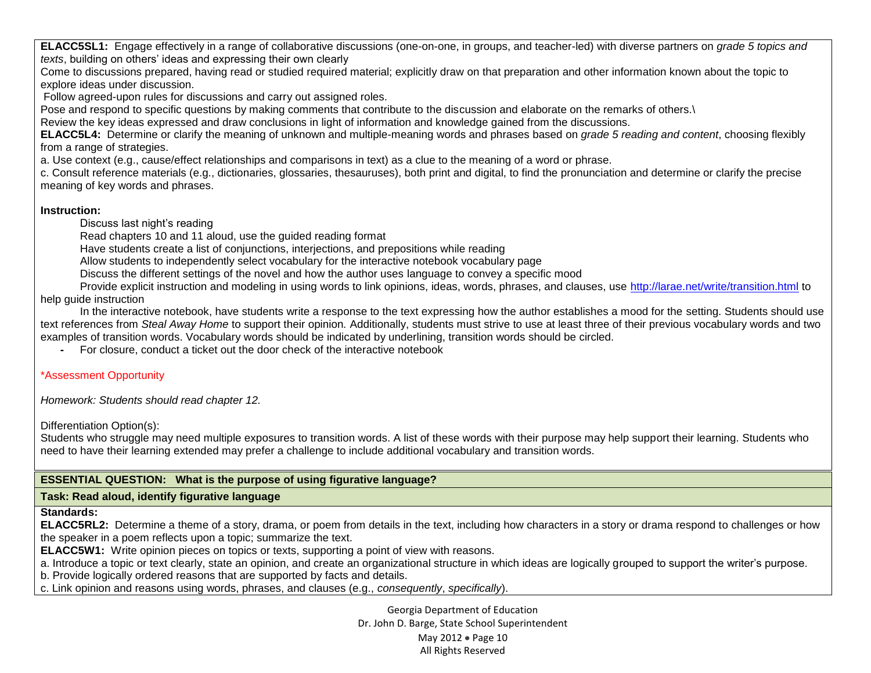**ELACC5SL1:** Engage effectively in a range of collaborative discussions (one-on-one, in groups, and teacher-led) with diverse partners on *grade 5 topics and texts*, building on others' ideas and expressing their own clearly

Come to discussions prepared, having read or studied required material; explicitly draw on that preparation and other information known about the topic to explore ideas under discussion.

Follow agreed-upon rules for discussions and carry out assigned roles.

Pose and respond to specific questions by making comments that contribute to the discussion and elaborate on the remarks of others.\

Review the key ideas expressed and draw conclusions in light of information and knowledge gained from the discussions.

**ELACC5L4:** Determine or clarify the meaning of unknown and multiple-meaning words and phrases based on *grade 5 reading and content*, choosing flexibly from a range of strategies.

a. Use context (e.g., cause/effect relationships and comparisons in text) as a clue to the meaning of a word or phrase.

c. Consult reference materials (e.g., dictionaries, glossaries, thesauruses), both print and digital, to find the pronunciation and determine or clarify the precise meaning of key words and phrases.

#### **Instruction:**

**-** Discuss last night's reading

**-** Read chapters 10 and 11 aloud, use the guided reading format

**-** Have students create a list of conjunctions, interjections, and prepositions while reading

**-** Allow students to independently select vocabulary for the interactive notebook vocabulary page

**-** Discuss the different settings of the novel and how the author uses language to convey a specific mood

**-** Provide explicit instruction and modeling in using words to link opinions, ideas, words, phrases, and clauses, use<http://larae.net/write/transition.html> to help guide instruction

**-** In the interactive notebook, have students write a response to the text expressing how the author establishes a mood for the setting. Students should use text references from *Steal Away Home* to support their opinion*.* Additionally, students must strive to use at least three of their previous vocabulary words and two examples of transition words. Vocabulary words should be indicated by underlining, transition words should be circled.

**-** For closure, conduct a ticket out the door check of the interactive notebook

# \*Assessment Opportunity

*Homework: Students should read chapter 12.* 

Differentiation Option(s):

Students who struggle may need multiple exposures to transition words. A list of these words with their purpose may help support their learning. Students who need to have their learning extended may prefer a challenge to include additional vocabulary and transition words.

# **ESSENTIAL QUESTION: What is the purpose of using figurative language?**

### **Task: Read aloud, identify figurative language**

**Standards:**

**ELACC5RL2:** Determine a theme of a story, drama, or poem from details in the text, including how characters in a story or drama respond to challenges or how the speaker in a poem reflects upon a topic; summarize the text.

**ELACC5W1:** Write opinion pieces on topics or texts, supporting a point of view with reasons.

a. Introduce a topic or text clearly, state an opinion, and create an organizational structure in which ideas are logically grouped to support the writer's purpose.

b. Provide logically ordered reasons that are supported by facts and details.

c. Link opinion and reasons using words, phrases, and clauses (e.g., *consequently*, *specifically*).

Georgia Department of Education Dr. John D. Barge, State School Superintendent May 2012 • Page 10 All Rights Reserved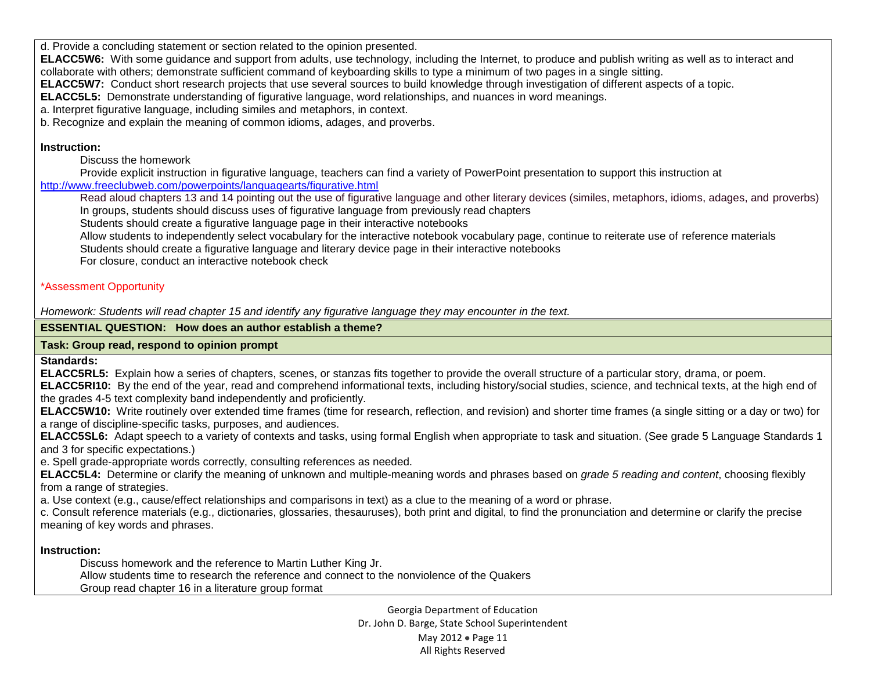d. Provide a concluding statement or section related to the opinion presented.

**ELACC5W6:** With some guidance and support from adults, use technology, including the Internet, to produce and publish writing as well as to interact and collaborate with others; demonstrate sufficient command of keyboarding skills to type a minimum of two pages in a single sitting.

**ELACC5W7:** Conduct short research projects that use several sources to build knowledge through investigation of different aspects of a topic.

**ELACC5L5:** Demonstrate understanding of figurative language, word relationships, and nuances in word meanings.

a. Interpret figurative language, including similes and metaphors, in context.

b. Recognize and explain the meaning of common idioms, adages, and proverbs.

### **Instruction:**

**-** Discuss the homework

**-** Provide explicit instruction in figurative language, teachers can find a variety of PowerPoint presentation to support this instruction at <http://www.freeclubweb.com/powerpoints/languagearts/figurative.html>

**-** Read aloud chapters 13 and 14 pointing out the use of figurative language and other literary devices (similes, metaphors, idioms, adages, and proverbs) **-** In groups, students should discuss uses of figurative language from previously read chapters

**-** Students should create a figurative language page in their interactive notebooks

**-** Allow students to independently select vocabulary for the interactive notebook vocabulary page, continue to reiterate use of reference materials **-** Students should create a figurative language and literary device page in their interactive notebooks

**-** For closure, conduct an interactive notebook check

# \*Assessment Opportunity

*Homework: Students will read chapter 15 and identify any figurative language they may encounter in the text.*

## **ESSENTIAL QUESTION: How does an author establish a theme?**

# **Task: Group read, respond to opinion prompt**

**Standards:**

**ELACC5RL5:** Explain how a series of chapters, scenes, or stanzas fits together to provide the overall structure of a particular story, drama, or poem.

**ELACC5RI10:** By the end of the year, read and comprehend informational texts, including history/social studies, science, and technical texts, at the high end of the grades 4-5 text complexity band independently and proficiently.

**ELACC5W10:** Write routinely over extended time frames (time for research, reflection, and revision) and shorter time frames (a single sitting or a day or two) for a range of discipline-specific tasks, purposes, and audiences.

**ELACC5SL6:** Adapt speech to a variety of contexts and tasks, using formal English when appropriate to task and situation. (See grade 5 Language Standards 1 and 3 for specific expectations.)

e. Spell grade-appropriate words correctly, consulting references as needed.

**ELACC5L4:** Determine or clarify the meaning of unknown and multiple-meaning words and phrases based on *grade 5 reading and content*, choosing flexibly from a range of strategies.

a. Use context (e.g., cause/effect relationships and comparisons in text) as a clue to the meaning of a word or phrase.

c. Consult reference materials (e.g., dictionaries, glossaries, thesauruses), both print and digital, to find the pronunciation and determine or clarify the precise meaning of key words and phrases.

# **Instruction:**

**-** Discuss homework and the reference to Martin Luther King Jr.

**-** Allow students time to research the reference and connect to the nonviolence of the Quakers

**-** Group read chapter 16 in a literature group format

Georgia Department of Education Dr. John D. Barge, State School Superintendent May 2012 • Page 11 All Rights Reserved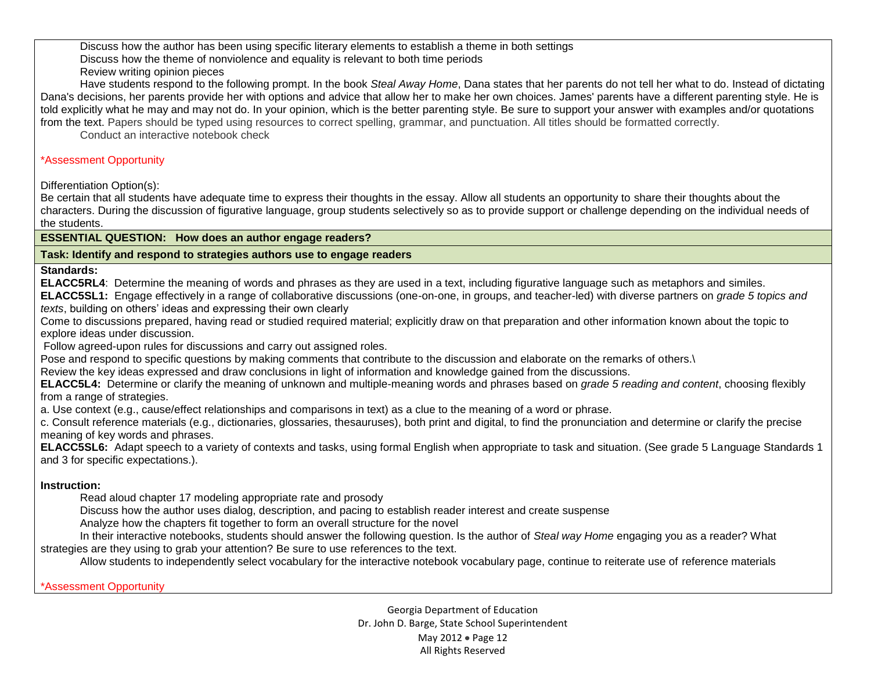**-** Discuss how the author has been using specific literary elements to establish a theme in both settings

**-** Discuss how the theme of nonviolence and equality is relevant to both time periods

**-** Review writing opinion pieces

**-** Have students respond to the following prompt. In the book *Steal Away Home*, Dana states that her parents do not tell her what to do. Instead of dictating Dana's decisions, her parents provide her with options and advice that allow her to make her own choices. James' parents have a different parenting style. He is told explicitly what he may and may not do. In your opinion, which is the better parenting style. Be sure to support your answer with examples and/or quotations from the text. Papers should be typed using resources to correct spelling, grammar, and punctuation. All titles should be formatted correctly.

**-** Conduct an interactive notebook check

## \*Assessment Opportunity

Differentiation Option(s):

Be certain that all students have adequate time to express their thoughts in the essay. Allow all students an opportunity to share their thoughts about the characters. During the discussion of figurative language, group students selectively so as to provide support or challenge depending on the individual needs of the students.

# **ESSENTIAL QUESTION: How does an author engage readers?**

### **Task: Identify and respond to strategies authors use to engage readers**

**Standards:**

**ELACC5RL4**: Determine the meaning of words and phrases as they are used in a text, including figurative language such as metaphors and similes.

**ELACC5SL1:** Engage effectively in a range of collaborative discussions (one-on-one, in groups, and teacher-led) with diverse partners on *grade 5 topics and texts*, building on others' ideas and expressing their own clearly

Come to discussions prepared, having read or studied required material; explicitly draw on that preparation and other information known about the topic to explore ideas under discussion.

Follow agreed-upon rules for discussions and carry out assigned roles.

Pose and respond to specific questions by making comments that contribute to the discussion and elaborate on the remarks of others.

Review the key ideas expressed and draw conclusions in light of information and knowledge gained from the discussions.

**ELACC5L4:** Determine or clarify the meaning of unknown and multiple-meaning words and phrases based on *grade 5 reading and content*, choosing flexibly from a range of strategies.

a. Use context (e.g., cause/effect relationships and comparisons in text) as a clue to the meaning of a word or phrase.

c. Consult reference materials (e.g., dictionaries, glossaries, thesauruses), both print and digital, to find the pronunciation and determine or clarify the precise meaning of key words and phrases.

**ELACC5SL6:** Adapt speech to a variety of contexts and tasks, using formal English when appropriate to task and situation. (See grade 5 Language Standards 1 and 3 for specific expectations.).

# **Instruction:**

**-** Read aloud chapter 17 modeling appropriate rate and prosody

**-** Discuss how the author uses dialog, description, and pacing to establish reader interest and create suspense

**-** Analyze how the chapters fit together to form an overall structure for the novel

**-** In their interactive notebooks, students should answer the following question. Is the author of *Steal way Home* engaging you as a reader? What strategies are they using to grab your attention? Be sure to use references to the text.

**-** Allow students to independently select vocabulary for the interactive notebook vocabulary page, continue to reiterate use of reference materials

\*Assessment Opportunity

Georgia Department of Education Dr. John D. Barge, State School Superintendent May 2012 • Page 12 All Rights Reserved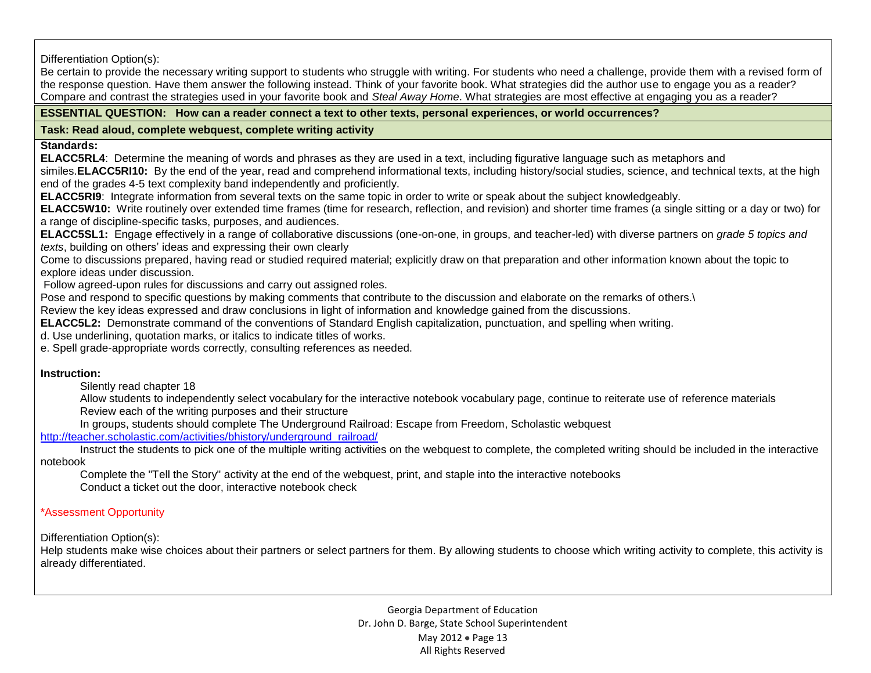Differentiation Option(s):

Be certain to provide the necessary writing support to students who struggle with writing. For students who need a challenge, provide them with a revised form of the response question. Have them answer the following instead. Think of your favorite book. What strategies did the author use to engage you as a reader? Compare and contrast the strategies used in your favorite book and *Steal Away Home*. What strategies are most effective at engaging you as a reader?

### **ESSENTIAL QUESTION: How can a reader connect a text to other texts, personal experiences, or world occurrences?**

**Task: Read aloud, complete webquest, complete writing activity**

**Standards:**

**ELACC5RL4**: Determine the meaning of words and phrases as they are used in a text, including figurative language such as metaphors and similes.**ELACC5RI10:** By the end of the year, read and comprehend informational texts, including history/social studies, science, and technical texts, at the high end of the grades 4-5 text complexity band independently and proficiently.

**ELACC5RI9**: Integrate information from several texts on the same topic in order to write or speak about the subject knowledgeably.

**ELACC5W10:** Write routinely over extended time frames (time for research, reflection, and revision) and shorter time frames (a single sitting or a day or two) for a range of discipline-specific tasks, purposes, and audiences.

**ELACC5SL1:** Engage effectively in a range of collaborative discussions (one-on-one, in groups, and teacher-led) with diverse partners on *grade 5 topics and texts*, building on others' ideas and expressing their own clearly

Come to discussions prepared, having read or studied required material; explicitly draw on that preparation and other information known about the topic to explore ideas under discussion.

Follow agreed-upon rules for discussions and carry out assigned roles.

Pose and respond to specific questions by making comments that contribute to the discussion and elaborate on the remarks of others.

Review the key ideas expressed and draw conclusions in light of information and knowledge gained from the discussions.

**ELACC5L2:** Demonstrate command of the conventions of Standard English capitalization, punctuation, and spelling when writing.

d. Use underlining, quotation marks, or italics to indicate titles of works.

e. Spell grade-appropriate words correctly, consulting references as needed.

# **Instruction:**

**-** Silently read chapter 18

**-** Allow students to independently select vocabulary for the interactive notebook vocabulary page, continue to reiterate use of reference materials **-** Review each of the writing purposes and their structure

**-** In groups, students should complete The Underground Railroad: Escape from Freedom, Scholastic webquest

[http://teacher.scholastic.com/activities/bhistory/underground\\_railroad/](http://teacher.scholastic.com/activities/bhistory/underground_railroad/)

**-** Instruct the students to pick one of the multiple writing activities on the webquest to complete, the completed writing should be included in the interactive notebook

**-** Complete the "Tell the Story" activity at the end of the webquest, print, and staple into the interactive notebooks **-** Conduct a ticket out the door, interactive notebook check

# \*Assessment Opportunity

Differentiation Option(s):

Help students make wise choices about their partners or select partners for them. By allowing students to choose which writing activity to complete, this activity is already differentiated.

> Georgia Department of Education Dr. John D. Barge, State School Superintendent May 2012 • Page 13 All Rights Reserved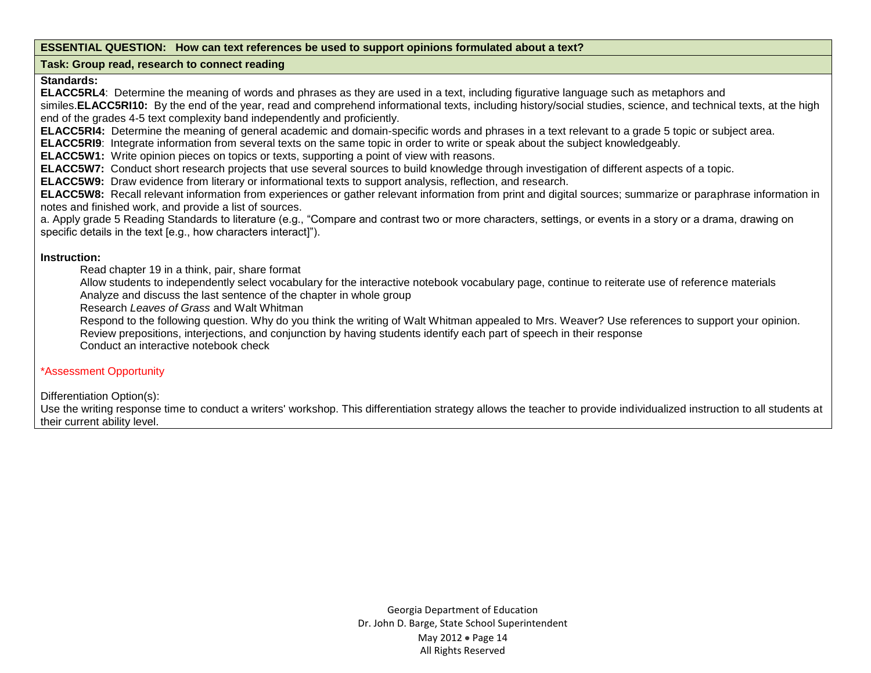#### **ESSENTIAL QUESTION: How can text references be used to support opinions formulated about a text?**

#### **Task: Group read, research to connect reading**

#### **Standards:**

**ELACC5RL4**: Determine the meaning of words and phrases as they are used in a text, including figurative language such as metaphors and

similes.**ELACC5RI10:** By the end of the year, read and comprehend informational texts, including history/social studies, science, and technical texts, at the high end of the grades 4-5 text complexity band independently and proficiently.

**ELACC5RI4:** Determine the meaning of general academic and domain-specific words and phrases in a text relevant to a grade 5 topic or subject area.

**ELACC5RI9**: Integrate information from several texts on the same topic in order to write or speak about the subject knowledgeably.

**ELACC5W1:** Write opinion pieces on topics or texts, supporting a point of view with reasons.

**ELACC5W7:** Conduct short research projects that use several sources to build knowledge through investigation of different aspects of a topic.

**ELACC5W9:** Draw evidence from literary or informational texts to support analysis, reflection, and research.

**ELACC5W8:** Recall relevant information from experiences or gather relevant information from print and digital sources; summarize or paraphrase information in notes and finished work, and provide a list of sources.

a. Apply grade 5 Reading Standards to literature (e.g., "Compare and contrast two or more characters, settings, or events in a story or a drama, drawing on specific details in the text [e.g., how characters interact]").

#### **Instruction:**

**-** Read chapter 19 in a think, pair, share format

**-** Allow students to independently select vocabulary for the interactive notebook vocabulary page, continue to reiterate use of reference materials **-** Analyze and discuss the last sentence of the chapter in whole group

**-** Research *Leaves of Grass* and Walt Whitman

**-** Respond to the following question. Why do you think the writing of Walt Whitman appealed to Mrs. Weaver? Use references to support your opinion. **-** Review prepositions, interjections, and conjunction by having students identify each part of speech in their response

**-** Conduct an interactive notebook check

#### \*Assessment Opportunity

Differentiation Option(s):

Use the writing response time to conduct a writers' workshop. This differentiation strategy allows the teacher to provide individualized instruction to all students at their current ability level.

> Georgia Department of Education Dr. John D. Barge, State School Superintendent May 2012 • Page 14 All Rights Reserved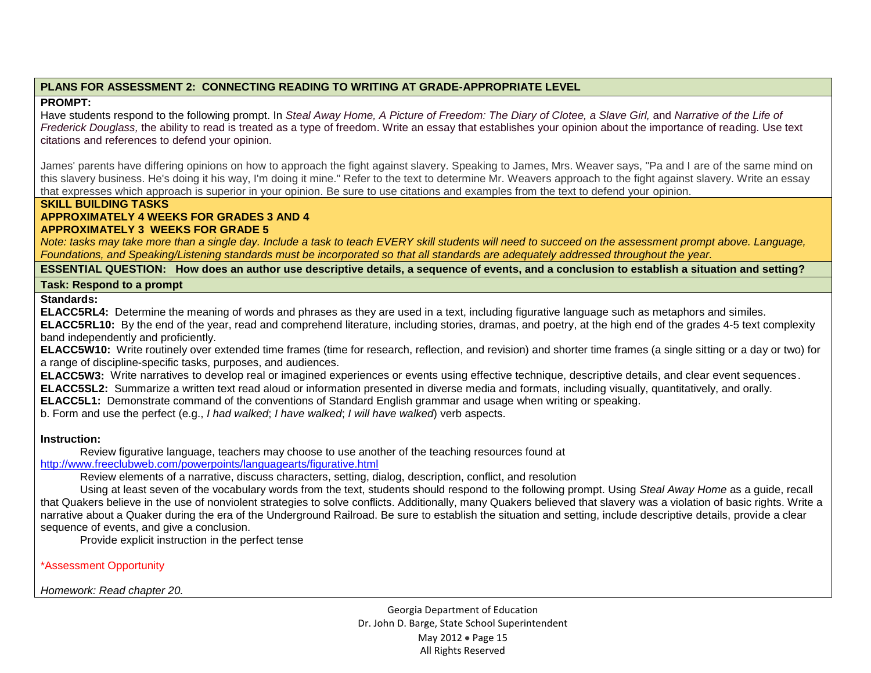## **PLANS FOR ASSESSMENT 2: CONNECTING READING TO WRITING AT GRADE-APPROPRIATE LEVEL**

### **PROMPT:**

Have students respond to the following prompt. In *Steal Away Home, A Picture of Freedom: The Diary of Clotee, a Slave Girl, and Narrative of the Life of Frederick Douglass,* the ability to read is treated as a type of freedom. Write an essay that establishes your opinion about the importance of reading. Use text citations and references to defend your opinion.

James' parents have differing opinions on how to approach the fight against slavery. Speaking to James, Mrs. Weaver says, "Pa and I are of the same mind on this slavery business. He's doing it his way, I'm doing it mine." Refer to the text to determine Mr. Weavers approach to the fight against slavery. Write an essay that expresses which approach is superior in your opinion. Be sure to use citations and examples from the text to defend your opinion.

### **SKILL BUILDING TASKS**

#### **APPROXIMATELY 4 WEEKS FOR GRADES 3 AND 4 APPROXIMATELY 3 WEEKS FOR GRADE 5**

*Note: tasks may take more than a single day. Include a task to teach EVERY skill students will need to succeed on the assessment prompt above. Language, Foundations, and Speaking/Listening standards must be incorporated so that all standards are adequately addressed throughout the year.* 

**ESSENTIAL QUESTION: How does an author use descriptive details, a sequence of events, and a conclusion to establish a situation and setting?**

### **Task: Respond to a prompt**

**Standards:** 

**ELACC5RL4:** Determine the meaning of words and phrases as they are used in a text, including figurative language such as metaphors and similes. **ELACC5RL10:** By the end of the year, read and comprehend literature, including stories, dramas, and poetry, at the high end of the grades 4-5 text complexity band independently and proficiently.

**ELACC5W10:** Write routinely over extended time frames (time for research, reflection, and revision) and shorter time frames (a single sitting or a day or two) for a range of discipline-specific tasks, purposes, and audiences.

**ELACC5W3:** Write narratives to develop real or imagined experiences or events using effective technique, descriptive details, and clear event sequences.

**ELACC5SL2:** Summarize a written text read aloud or information presented in diverse media and formats, including visually, quantitatively, and orally.

**ELACC5L1:** Demonstrate command of the conventions of Standard English grammar and usage when writing or speaking.

b. Form and use the perfect (e.g., *I had walked*; *I have walked*; *I will have walked*) verb aspects.

### **Instruction:**

**-** Review figurative language, teachers may choose to use another of the teaching resources found at <http://www.freeclubweb.com/powerpoints/languagearts/figurative.html>

**-** Review elements of a narrative, discuss characters, setting, dialog, description, conflict, and resolution

**-** Using at least seven of the vocabulary words from the text, students should respond to the following prompt. Using *Steal Away Home* as a guide, recall that Quakers believe in the use of nonviolent strategies to solve conflicts. Additionally, many Quakers believed that slavery was a violation of basic rights. Write a narrative about a Quaker during the era of the Underground Railroad. Be sure to establish the situation and setting, include descriptive details, provide a clear sequence of events, and give a conclusion.

**-** Provide explicit instruction in the perfect tense

\*Assessment Opportunity

*Homework: Read chapter 20.* 

Georgia Department of Education Dr. John D. Barge, State School Superintendent May 2012 • Page 15 All Rights Reserved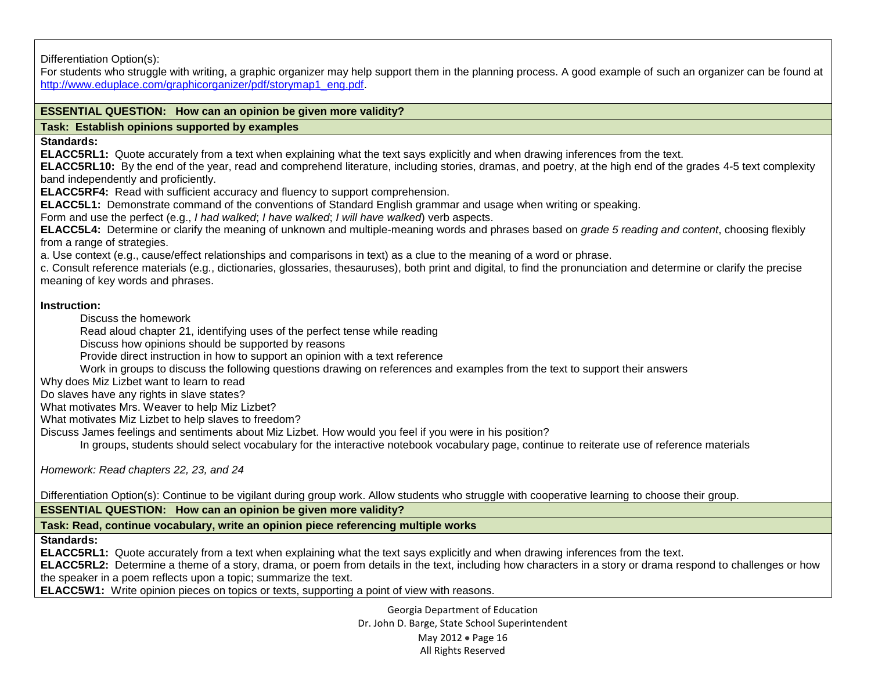Differentiation Option(s):

For students who struggle with writing, a graphic organizer may help support them in the planning process. A good example of such an organizer can be found at [http://www.eduplace.com/graphicorganizer/pdf/storymap1\\_eng.pdf.](http://www.eduplace.com/graphicorganizer/pdf/storymap1_eng.pdf)

## **ESSENTIAL QUESTION: How can an opinion be given more validity?**

#### **Task: Establish opinions supported by examples**

**Standards:**

**ELACC5RL1:** Quote accurately from a text when explaining what the text says explicitly and when drawing inferences from the text.

**ELACC5RL10:** By the end of the year, read and comprehend literature, including stories, dramas, and poetry, at the high end of the grades 4-5 text complexity band independently and proficiently.

**ELACC5RF4:** Read with sufficient accuracy and fluency to support comprehension.

**ELACC5L1:** Demonstrate command of the conventions of Standard English grammar and usage when writing or speaking.

b. Form and use the perfect (e.g., *I had walked*; *I have walked*; *I will have walked*) verb aspects.

**ELACC5L4:** Determine or clarify the meaning of unknown and multiple-meaning words and phrases based on *grade 5 reading and content*, choosing flexibly from a range of strategies.

a. Use context (e.g., cause/effect relationships and comparisons in text) as a clue to the meaning of a word or phrase.

c. Consult reference materials (e.g., dictionaries, glossaries, thesauruses), both print and digital, to find the pronunciation and determine or clarify the precise meaning of key words and phrases.

### **Instruction:**

**-** Discuss the homework

**-** Read aloud chapter 21, identifying uses of the perfect tense while reading

**-** Discuss how opinions should be supported by reasons

**-** Provide direct instruction in how to support an opinion with a text reference

**-** Work in groups to discuss the following questions drawing on references and examples from the text to support their answers

Why does Miz Lizbet want to learn to read

2. Do slaves have any rights in slave states?

What motivates Mrs. Weaver to help Miz Lizbet?

4. What motivates Miz Lizbet to help slaves to freedom?

5. Discuss James feelings and sentiments about Miz Lizbet. How would you feel if you were in his position?

**-** In groups, students should select vocabulary for the interactive notebook vocabulary page, continue to reiterate use of reference materials

*Homework: Read chapters 22, 23, and 24*

Differentiation Option(s): Continue to be vigilant during group work. Allow students who struggle with cooperative learning to choose their group.

**ESSENTIAL QUESTION: How can an opinion be given more validity?**

**Task: Read, continue vocabulary, write an opinion piece referencing multiple works**

**Standards:** 

**ELACC5RL1:** Quote accurately from a text when explaining what the text says explicitly and when drawing inferences from the text.

**ELACC5RL2:** Determine a theme of a story, drama, or poem from details in the text, including how characters in a story or drama respond to challenges or how the speaker in a poem reflects upon a topic; summarize the text.

**ELACC5W1:** Write opinion pieces on topics or texts, supporting a point of view with reasons.

Georgia Department of Education Dr. John D. Barge, State School Superintendent May 2012 • Page 16 All Rights Reserved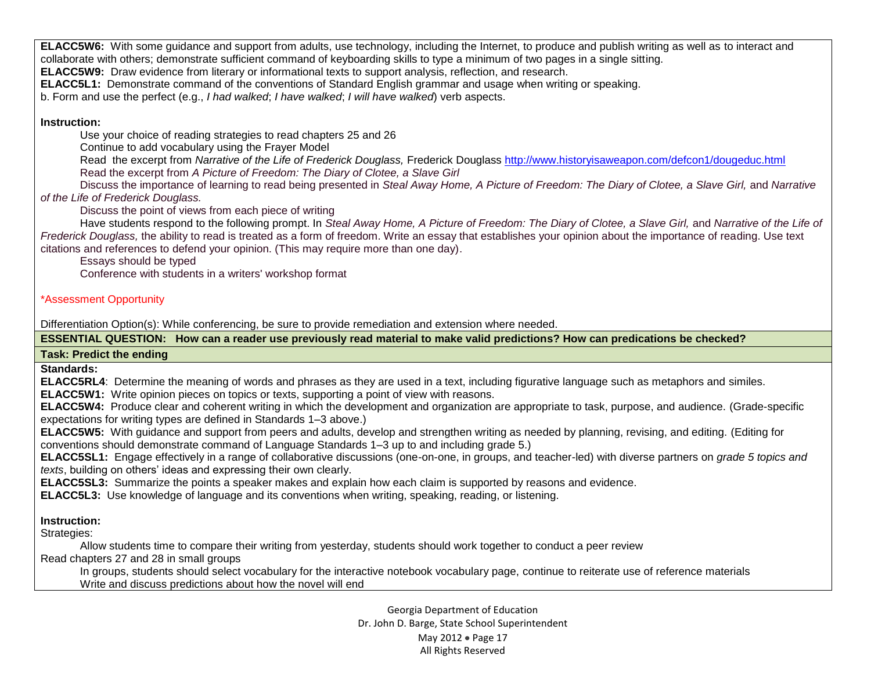**ELACC5W6:** With some guidance and support from adults, use technology, including the Internet, to produce and publish writing as well as to interact and collaborate with others; demonstrate sufficient command of keyboarding skills to type a minimum of two pages in a single sitting.

**ELACC5W9:** Draw evidence from literary or informational texts to support analysis, reflection, and research.

**ELACC5L1:** Demonstrate command of the conventions of Standard English grammar and usage when writing or speaking.

b. Form and use the perfect (e.g., *I had walked*; *I have walked*; *I will have walked*) verb aspects.

# **Instruction:**

**-** Use your choice of reading strategies to read chapters 25 and 26

**-** Continue to add vocabulary using the Frayer Model

**-** Read the excerpt from *Narrative of the Life of Frederick Douglass,* Frederick Douglass<http://www.historyisaweapon.com/defcon1/dougeduc.html> **-** Read the excerpt from *A Picture of Freedom: The Diary of Clotee, a Slave Girl*

**-** Discuss the importance of learning to read being presented in *Steal Away Home, A Picture of Freedom: The Diary of Clotee, a Slave Girl,* and *Narrative of the Life of Frederick Douglass.*

**-** Discuss the point of views from each piece of writing

**-** Have students respond to the following prompt. In *Steal Away Home, A Picture of Freedom: The Diary of Clotee, a Slave Girl,* and *Narrative of the Life of Frederick Douglass,* the ability to read is treated as a form of freedom. Write an essay that establishes your opinion about the importance of reading. Use text citations and references to defend your opinion. (This may require more than one day).

**-** Essays should be typed **-** Conference with students in a writers' workshop format

# \*Assessment Opportunity

Differentiation Option(s): While conferencing, be sure to provide remediation and extension where needed.

**ESSENTIAL QUESTION: How can a reader use previously read material to make valid predictions? How can predications be checked?**

# **Task: Predict the ending**

**Standards:**

**ELACC5RL4**: Determine the meaning of words and phrases as they are used in a text, including figurative language such as metaphors and similes.

**ELACC5W1:** Write opinion pieces on topics or texts, supporting a point of view with reasons.

**ELACC5W4:** Produce clear and coherent writing in which the development and organization are appropriate to task, purpose, and audience. (Grade-specific expectations for writing types are defined in Standards 1–3 above.)

**ELACC5W5:** With guidance and support from peers and adults, develop and strengthen writing as needed by planning, revising, and editing. (Editing for conventions should demonstrate command of Language Standards 1–3 up to and including grade 5.)

**ELACC5SL1:** Engage effectively in a range of collaborative discussions (one-on-one, in groups, and teacher-led) with diverse partners on *grade 5 topics and texts*, building on others' ideas and expressing their own clearly.

**ELACC5SL3:** Summarize the points a speaker makes and explain how each claim is supported by reasons and evidence.

**ELACC5L3:** Use knowledge of language and its conventions when writing, speaking, reading, or listening.

# **Instruction:**

Strategies:

**-** Allow students time to compare their writing from yesterday, students should work together to conduct a peer review

Read chapters 27 and 28 in small groups

**-** In groups, students should select vocabulary for the interactive notebook vocabulary page, continue to reiterate use of reference materials **-** Write and discuss predictions about how the novel will end

> Georgia Department of Education Dr. John D. Barge, State School Superintendent May 2012 • Page 17 All Rights Reserved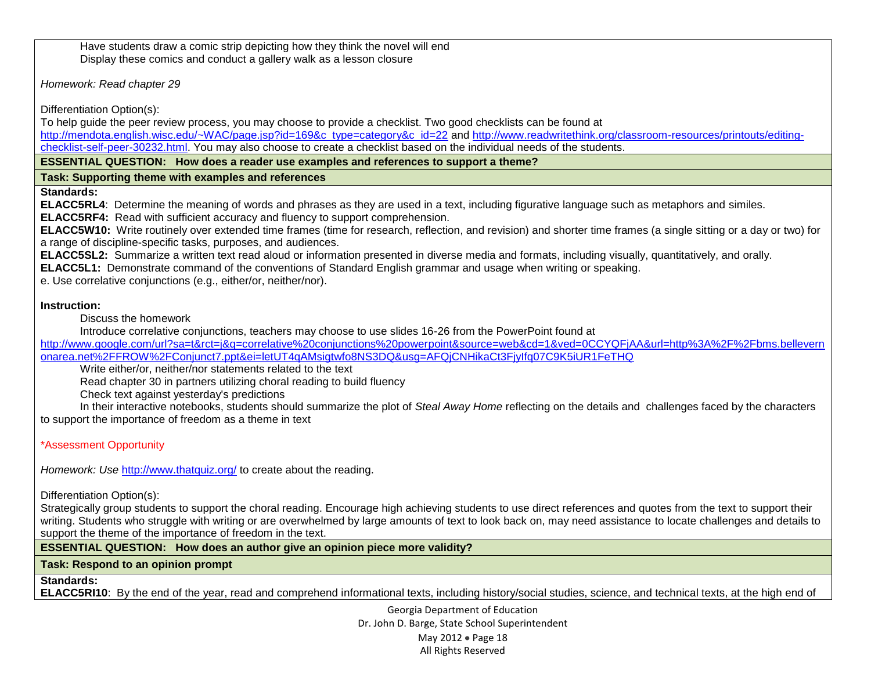**-** Have students draw a comic strip depicting how they think the novel will end **-** Display these comics and conduct a gallery walk as a lesson closure

*Homework: Read chapter 29*

Differentiation Option(s):

To help guide the peer review process, you may choose to provide a checklist. Two good checklists can be found at [http://mendota.english.wisc.edu/~WAC/page.jsp?id=169&c\\_type=category&c\\_id=22](http://mendota.english.wisc.edu/~WAC/page.jsp?id=169&c_type=category&c_id=22) and [http://www.readwritethink.org/classroom-resources/printouts/editing](http://www.readwritethink.org/classroom-resources/printouts/editing-checklist-self-peer-30232.html)[checklist-self-peer-30232.html.](http://www.readwritethink.org/classroom-resources/printouts/editing-checklist-self-peer-30232.html) You may also choose to create a checklist based on the individual needs of the students.

**ESSENTIAL QUESTION: How does a reader use examples and references to support a theme?**

# **Task: Supporting theme with examples and references**

**Standards:**

**ELACC5RL4**: Determine the meaning of words and phrases as they are used in a text, including figurative language such as metaphors and similes. **ELACC5RF4:** Read with sufficient accuracy and fluency to support comprehension.

**ELACC5W10:** Write routinely over extended time frames (time for research, reflection, and revision) and shorter time frames (a single sitting or a day or two) for a range of discipline-specific tasks, purposes, and audiences.

**ELACC5SL2:** Summarize a written text read aloud or information presented in diverse media and formats, including visually, quantitatively, and orally.

**ELACC5L1:** Demonstrate command of the conventions of Standard English grammar and usage when writing or speaking.

e. Use correlative conjunctions (e.g., either/or, neither/nor).

# **Instruction:**

**-** Discuss the homework

**-** Introduce correlative conjunctions, teachers may choose to use slides 16-26 from the PowerPoint found at

[http://www.google.com/url?sa=t&rct=j&q=correlative%20conjunctions%20powerpoint&source=web&cd=1&ved=0CCYQFjAA&url=http%3A%2F%2Fbms.bellevern](http://www.google.com/url?sa=t&rct=j&q=correlative%20conjunctions%20powerpoint&source=web&cd=1&ved=0CCYQFjAA&url=http%3A%2F%2Fbms.bellevernonarea.net%2FFROW%2FConjunct7.ppt&ei=letUT4qAMsigtwfo8NS3DQ&usg=AFQjCNHikaCt3FjyIfq07C9K5iUR1FeTHQ) [onarea.net%2FFROW%2FConjunct7.ppt&ei=letUT4qAMsigtwfo8NS3DQ&usg=AFQjCNHikaCt3FjyIfq07C9K5iUR1FeTHQ](http://www.google.com/url?sa=t&rct=j&q=correlative%20conjunctions%20powerpoint&source=web&cd=1&ved=0CCYQFjAA&url=http%3A%2F%2Fbms.bellevernonarea.net%2FFROW%2FConjunct7.ppt&ei=letUT4qAMsigtwfo8NS3DQ&usg=AFQjCNHikaCt3FjyIfq07C9K5iUR1FeTHQ)

**-** Write either/or, neither/nor statements related to the text

**-** Read chapter 30 in partners utilizing choral reading to build fluency

**-** Check text against yesterday's predictions

**-** In their interactive notebooks, students should summarize the plot of *Steal Away Home* reflecting on the details and challenges faced by the characters to support the importance of freedom as a theme in text

\*Assessment Opportunity

*Homework: Use <http://www.thatquiz.org/> to create about the reading.* 

Differentiation Option(s):

Strategically group students to support the choral reading. Encourage high achieving students to use direct references and quotes from the text to support their writing. Students who struggle with writing or are overwhelmed by large amounts of text to look back on, may need assistance to locate challenges and details to support the theme of the importance of freedom in the text.

**ESSENTIAL QUESTION: How does an author give an opinion piece more validity?**

# **Task: Respond to an opinion prompt**

**Standards:** 

**ELACC5RI10**: By the end of the year, read and comprehend informational texts, including history/social studies, science, and technical texts, at the high end of

Georgia Department of Education Dr. John D. Barge, State School Superintendent May 2012 • Page 18 All Rights Reserved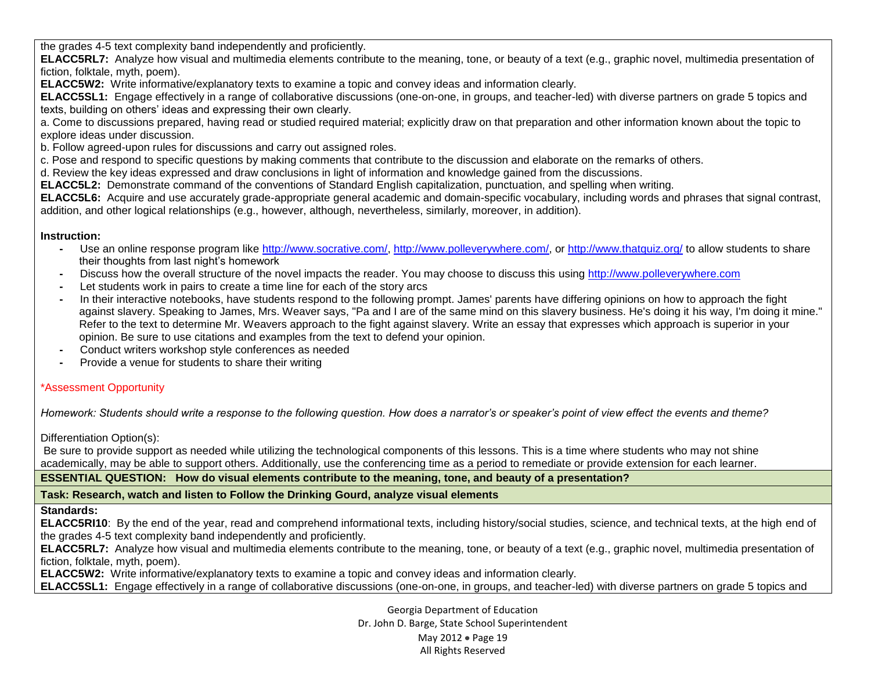the grades 4-5 text complexity band independently and proficiently.

**ELACC5RL7:** Analyze how visual and multimedia elements contribute to the meaning, tone, or beauty of a text (e.g., graphic novel, multimedia presentation of fiction, folktale, myth, poem).

**ELACC5W2:** Write informative/explanatory texts to examine a topic and convey ideas and information clearly.

**ELACC5SL1:** Engage effectively in a range of collaborative discussions (one-on-one, in groups, and teacher-led) with diverse partners on grade 5 topics and texts, building on others' ideas and expressing their own clearly.

a. Come to discussions prepared, having read or studied required material; explicitly draw on that preparation and other information known about the topic to explore ideas under discussion.

b. Follow agreed-upon rules for discussions and carry out assigned roles.

c. Pose and respond to specific questions by making comments that contribute to the discussion and elaborate on the remarks of others.

d. Review the key ideas expressed and draw conclusions in light of information and knowledge gained from the discussions.

**ELACC5L2:** Demonstrate command of the conventions of Standard English capitalization, punctuation, and spelling when writing.

**ELACC5L6:** Acquire and use accurately grade-appropriate general academic and domain-specific vocabulary, including words and phrases that signal contrast, addition, and other logical relationships (e.g., however, although, nevertheless, similarly, moreover, in addition).

# **Instruction:**

- **-** Use an online response program like [http://www.socrative.com/,](http://www.socrative.com/) [http://www.polleverywhere.com/,](http://www.polleverywhere.com/) or<http://www.thatquiz.org/> to allow students to share their thoughts from last night's homework
- **-** Discuss how the overall structure of the novel impacts the reader. You may choose to discuss this using [http://www.polleverywhere.com](http://www.polleverywhere.com/)
- **-** Let students work in pairs to create a time line for each of the story arcs
- **-** In their interactive notebooks, have students respond to the following prompt. James' parents have differing opinions on how to approach the fight against slavery. Speaking to James, Mrs. Weaver says, "Pa and I are of the same mind on this slavery business. He's doing it his way, I'm doing it mine." Refer to the text to determine Mr. Weavers approach to the fight against slavery. Write an essay that expresses which approach is superior in your opinion. Be sure to use citations and examples from the text to defend your opinion.
- **-** Conduct writers workshop style conferences as needed
- **-** Provide a venue for students to share their writing

# \*Assessment Opportunity

*Homework: Students should write a response to the following question. How does a narrator's or speaker's point of view effect the events and theme?*

Differentiation Option(s):

Be sure to provide support as needed while utilizing the technological components of this lessons. This is a time where students who may not shine academically, may be able to support others. Additionally, use the conferencing time as a period to remediate or provide extension for each learner.

**ESSENTIAL QUESTION: How do visual elements contribute to the meaning, tone, and beauty of a presentation?**

**Task: Research, watch and listen to Follow the Drinking Gourd, analyze visual elements**

# **Standards:**

**ELACC5RI10**: By the end of the year, read and comprehend informational texts, including history/social studies, science, and technical texts, at the high end of the grades 4-5 text complexity band independently and proficiently.

**ELACC5RL7:** Analyze how visual and multimedia elements contribute to the meaning, tone, or beauty of a text (e.g., graphic novel, multimedia presentation of fiction, folktale, myth, poem).

**ELACC5W2:** Write informative/explanatory texts to examine a topic and convey ideas and information clearly.

**ELACC5SL1:** Engage effectively in a range of collaborative discussions (one-on-one, in groups, and teacher-led) with diverse partners on grade 5 topics and

Georgia Department of Education Dr. John D. Barge, State School Superintendent May 2012 • Page 19 All Rights Reserved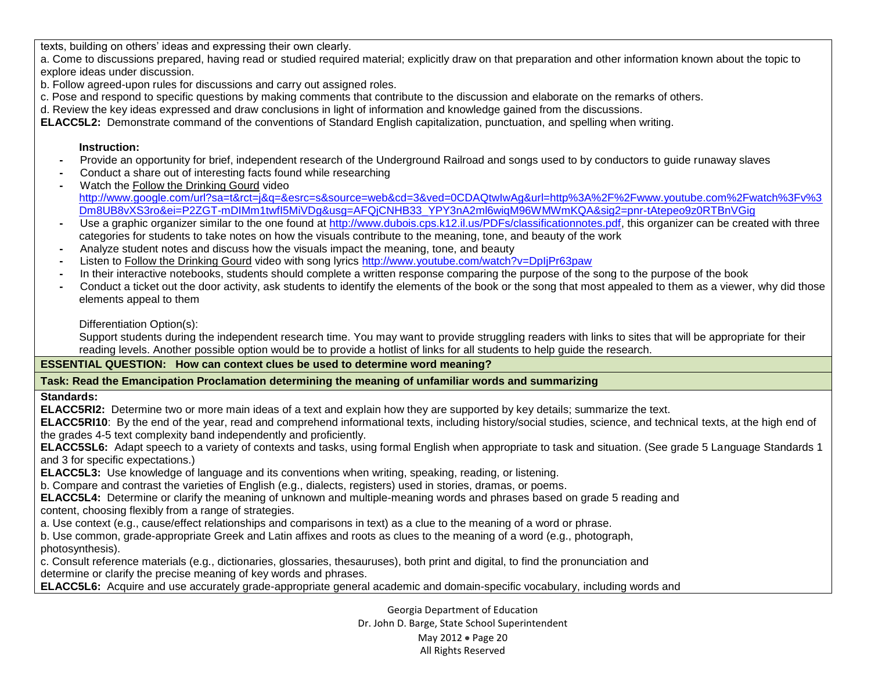texts, building on others' ideas and expressing their own clearly.

a. Come to discussions prepared, having read or studied required material; explicitly draw on that preparation and other information known about the topic to explore ideas under discussion.

b. Follow agreed-upon rules for discussions and carry out assigned roles.

c. Pose and respond to specific questions by making comments that contribute to the discussion and elaborate on the remarks of others.

d. Review the key ideas expressed and draw conclusions in light of information and knowledge gained from the discussions.

**ELACC5L2:** Demonstrate command of the conventions of Standard English capitalization, punctuation, and spelling when writing.

#### **Instruction:**

- **-** Provide an opportunity for brief, independent research of the Underground Railroad and songs used to by conductors to guide runaway slaves
- **-** Conduct a share out of interesting facts found while researching
- **-** Watch the Follow the Drinking Gourd video [http://www.google.com/url?sa=t&rct=j&q=&esrc=s&source=web&cd=3&ved=0CDAQtwIwAg&url=http%3A%2F%2Fwww.youtube.com%2Fwatch%3Fv%3](http://www.google.com/url?sa=t&rct=j&q=&esrc=s&source=web&cd=3&ved=0CDAQtwIwAg&url=http%3A%2F%2Fwww.youtube.com%2Fwatch%3Fv%3Dm8UB8vXS3ro&ei=P2ZGT-mDIMm1twfI5MiVDg&usg=AFQjCNHB33_YPY3nA2ml6wiqM96WMWmKQA&sig2=pnr-tAtepeo9z0RTBnVGig) [Dm8UB8vXS3ro&ei=P2ZGT-mDIMm1twfI5MiVDg&usg=AFQjCNHB33\\_YPY3nA2ml6wiqM96WMWmKQA&sig2=pnr-tAtepeo9z0RTBnVGig](http://www.google.com/url?sa=t&rct=j&q=&esrc=s&source=web&cd=3&ved=0CDAQtwIwAg&url=http%3A%2F%2Fwww.youtube.com%2Fwatch%3Fv%3Dm8UB8vXS3ro&ei=P2ZGT-mDIMm1twfI5MiVDg&usg=AFQjCNHB33_YPY3nA2ml6wiqM96WMWmKQA&sig2=pnr-tAtepeo9z0RTBnVGig)
- **-** Use a graphic organizer similar to the one found at [http://www.dubois.cps.k12.il.us/PDFs/classificationnotes.pdf,](http://www.dubois.cps.k12.il.us/PDFs/classificationnotes.pdf) this organizer can be created with three categories for students to take notes on how the visuals contribute to the meaning, tone, and beauty of the work
- **-** Analyze student notes and discuss how the visuals impact the meaning, tone, and beauty
- **-** Listen to Follow the Drinking Gourd video with song lyrics<http://www.youtube.com/watch?v=DpIjPr63paw>
- **-** In their interactive notebooks, students should complete a written response comparing the purpose of the song to the purpose of the book
- **-** Conduct a ticket out the door activity, ask students to identify the elements of the book or the song that most appealed to them as a viewer, why did those elements appeal to them

Differentiation Option(s):

Support students during the independent research time. You may want to provide struggling readers with links to sites that will be appropriate for their reading levels. Another possible option would be to provide a hotlist of links for all students to help guide the research.

### **ESSENTIAL QUESTION: How can context clues be used to determine word meaning?**

# **Task: Read the Emancipation Proclamation determining the meaning of unfamiliar words and summarizing**

# **Standards:**

**ELACC5RI2:** Determine two or more main ideas of a text and explain how they are supported by key details; summarize the text.

**ELACC5RI10**: By the end of the year, read and comprehend informational texts, including history/social studies, science, and technical texts, at the high end of the grades 4-5 text complexity band independently and proficiently.

**ELACC5SL6:** Adapt speech to a variety of contexts and tasks, using formal English when appropriate to task and situation. (See grade 5 Language Standards 1 and 3 for specific expectations.)

**ELACC5L3:** Use knowledge of language and its conventions when writing, speaking, reading, or listening.

b. Compare and contrast the varieties of English (e.g., dialects, registers) used in stories, dramas, or poems.

**ELACC5L4:** Determine or clarify the meaning of unknown and multiple-meaning words and phrases based on grade 5 reading and content, choosing flexibly from a range of strategies.

a. Use context (e.g., cause/effect relationships and comparisons in text) as a clue to the meaning of a word or phrase.

b. Use common, grade-appropriate Greek and Latin affixes and roots as clues to the meaning of a word (e.g., photograph, photosynthesis).

c. Consult reference materials (e.g., dictionaries, glossaries, thesauruses), both print and digital, to find the pronunciation and determine or clarify the precise meaning of key words and phrases.

**ELACC5L6:** Acquire and use accurately grade-appropriate general academic and domain-specific vocabulary, including words and

Georgia Department of Education Dr. John D. Barge, State School Superintendent May 2012 • Page 20 All Rights Reserved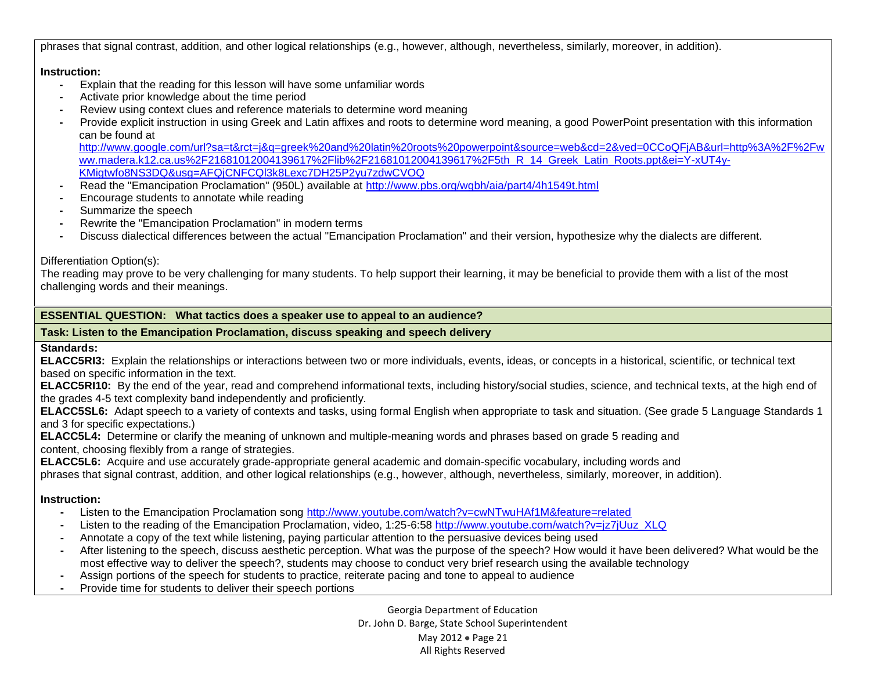phrases that signal contrast, addition, and other logical relationships (e.g., however, although, nevertheless, similarly, moreover, in addition).

#### **Instruction:**

- **-** Explain that the reading for this lesson will have some unfamiliar words
- **-** Activate prior knowledge about the time period
- **-** Review using context clues and reference materials to determine word meaning
- **-** Provide explicit instruction in using Greek and Latin affixes and roots to determine word meaning, a good PowerPoint presentation with this information can be found at

[http://www.google.com/url?sa=t&rct=j&q=greek%20and%20latin%20roots%20powerpoint&source=web&cd=2&ved=0CCoQFjAB&url=http%3A%2F%2Fw](http://www.google.com/url?sa=t&rct=j&q=greek%20and%20latin%20roots%20powerpoint&source=web&cd=2&ved=0CCoQFjAB&url=http%3A%2F%2Fwww.madera.k12.ca.us%2F21681012004139617%2Flib%2F21681012004139617%2F5th_R_14_Greek_Latin_Roots.ppt&ei=Y-xUT4y-KMigtwfo8NS3DQ&usg=AFQjCNFCQl3k8Lexc7DH25P2yu7zdwCVOQ) [ww.madera.k12.ca.us%2F21681012004139617%2Flib%2F21681012004139617%2F5th\\_R\\_14\\_Greek\\_Latin\\_Roots.ppt&ei=Y-xUT4y-](http://www.google.com/url?sa=t&rct=j&q=greek%20and%20latin%20roots%20powerpoint&source=web&cd=2&ved=0CCoQFjAB&url=http%3A%2F%2Fwww.madera.k12.ca.us%2F21681012004139617%2Flib%2F21681012004139617%2F5th_R_14_Greek_Latin_Roots.ppt&ei=Y-xUT4y-KMigtwfo8NS3DQ&usg=AFQjCNFCQl3k8Lexc7DH25P2yu7zdwCVOQ)[KMigtwfo8NS3DQ&usg=AFQjCNFCQl3k8Lexc7DH25P2yu7zdwCVOQ](http://www.google.com/url?sa=t&rct=j&q=greek%20and%20latin%20roots%20powerpoint&source=web&cd=2&ved=0CCoQFjAB&url=http%3A%2F%2Fwww.madera.k12.ca.us%2F21681012004139617%2Flib%2F21681012004139617%2F5th_R_14_Greek_Latin_Roots.ppt&ei=Y-xUT4y-KMigtwfo8NS3DQ&usg=AFQjCNFCQl3k8Lexc7DH25P2yu7zdwCVOQ)

- **-** Read the "Emancipation Proclamation" (950L) available at<http://www.pbs.org/wgbh/aia/part4/4h1549t.html>
- **-** Encourage students to annotate while reading
- **-** Summarize the speech
- **-** Rewrite the "Emancipation Proclamation" in modern terms
- **-** Discuss dialectical differences between the actual "Emancipation Proclamation" and their version, hypothesize why the dialects are different.

### Differentiation Option(s):

The reading may prove to be very challenging for many students. To help support their learning, it may be beneficial to provide them with a list of the most challenging words and their meanings.

## **ESSENTIAL QUESTION: What tactics does a speaker use to appeal to an audience?**

### **Task: Listen to the Emancipation Proclamation, discuss speaking and speech delivery**

# **Standards:**

**ELACC5RI3:** Explain the relationships or interactions between two or more individuals, events, ideas, or concepts in a historical, scientific, or technical text based on specific information in the text.

**ELACC5RI10:** By the end of the year, read and comprehend informational texts, including history/social studies, science, and technical texts, at the high end of the grades 4-5 text complexity band independently and proficiently.

**ELACC5SL6:** Adapt speech to a variety of contexts and tasks, using formal English when appropriate to task and situation. (See grade 5 Language Standards 1 and 3 for specific expectations.)

**ELACC5L4:** Determine or clarify the meaning of unknown and multiple-meaning words and phrases based on grade 5 reading and content, choosing flexibly from a range of strategies.

**ELACC5L6:** Acquire and use accurately grade-appropriate general academic and domain-specific vocabulary, including words and

phrases that signal contrast, addition, and other logical relationships (e.g., however, although, nevertheless, similarly, moreover, in addition).

# **Instruction:**

- **-** Listen to the Emancipation Proclamation song<http://www.youtube.com/watch?v=cwNTwuHAf1M&feature=related>
- **-** Listen to the reading of the Emancipation Proclamation, video, 1:25-6:58 [http://www.youtube.com/watch?v=jz7jUuz\\_XLQ](http://www.youtube.com/watch?v=jz7jUuz_XLQ)
- **-** Annotate a copy of the text while listening, paying particular attention to the persuasive devices being used
- **-** After listening to the speech, discuss aesthetic perception. What was the purpose of the speech? How would it have been delivered? What would be the most effective way to deliver the speech?, students may choose to conduct very brief research using the available technology
- **-** Assign portions of the speech for students to practice, reiterate pacing and tone to appeal to audience
- **-** Provide time for students to deliver their speech portions

Georgia Department of Education Dr. John D. Barge, State School Superintendent May 2012 Page 21 All Rights Reserved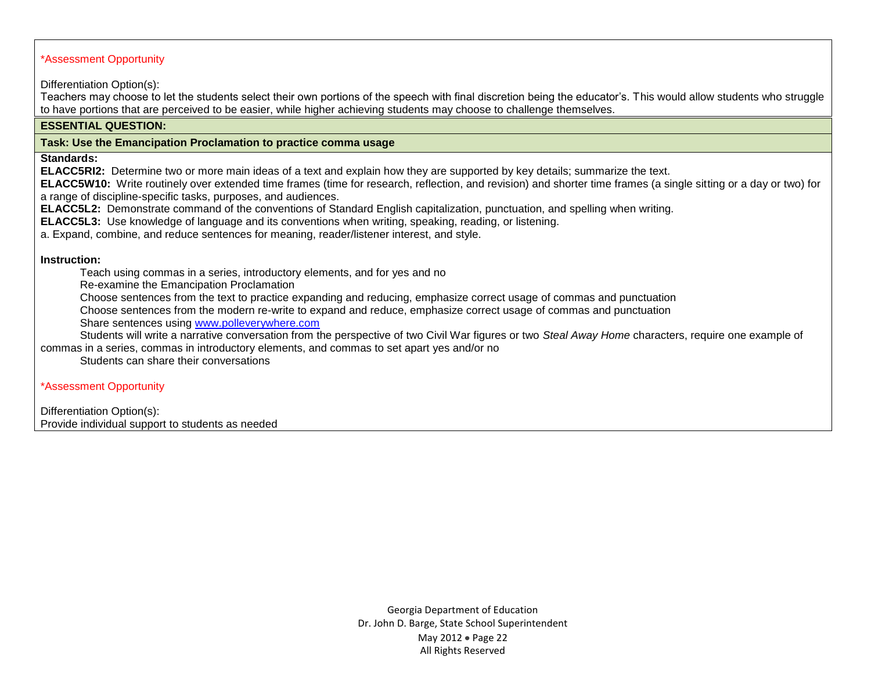### \*Assessment Opportunity

Differentiation Option(s):

Teachers may choose to let the students select their own portions of the speech with final discretion being the educator's. This would allow students who struggle to have portions that are perceived to be easier, while higher achieving students may choose to challenge themselves.

#### **ESSENTIAL QUESTION:**

#### **Task: Use the Emancipation Proclamation to practice comma usage**

**Standards:**

**ELACC5RI2:** Determine two or more main ideas of a text and explain how they are supported by key details; summarize the text.

**ELACC5W10:** Write routinely over extended time frames (time for research, reflection, and revision) and shorter time frames (a single sitting or a day or two) for a range of discipline-specific tasks, purposes, and audiences.

**ELACC5L2:** Demonstrate command of the conventions of Standard English capitalization, punctuation, and spelling when writing.

**ELACC5L3:** Use knowledge of language and its conventions when writing, speaking, reading, or listening.

a. Expand, combine, and reduce sentences for meaning, reader/listener interest, and style.

#### **Instruction:**

**-** Teach using commas in a series, introductory elements, and for yes and no

**-** Re-examine the Emancipation Proclamation

**-** Choose sentences from the text to practice expanding and reducing, emphasize correct usage of commas and punctuation

**-** Choose sentences from the modern re-write to expand and reduce, emphasize correct usage of commas and punctuation

**-** Share sentences using [www.polleverywhere.com](http://www.polleverywhere.com/)

**-** Students will write a narrative conversation from the perspective of two Civil War figures or two *Steal Away Home* characters, require one example of commas in a series, commas in introductory elements, and commas to set apart yes and/or no

**-** Students can share their conversations

\*Assessment Opportunity

Differentiation Option(s): Provide individual support to students as needed

> Georgia Department of Education Dr. John D. Barge, State School Superintendent May 2012 • Page 22 All Rights Reserved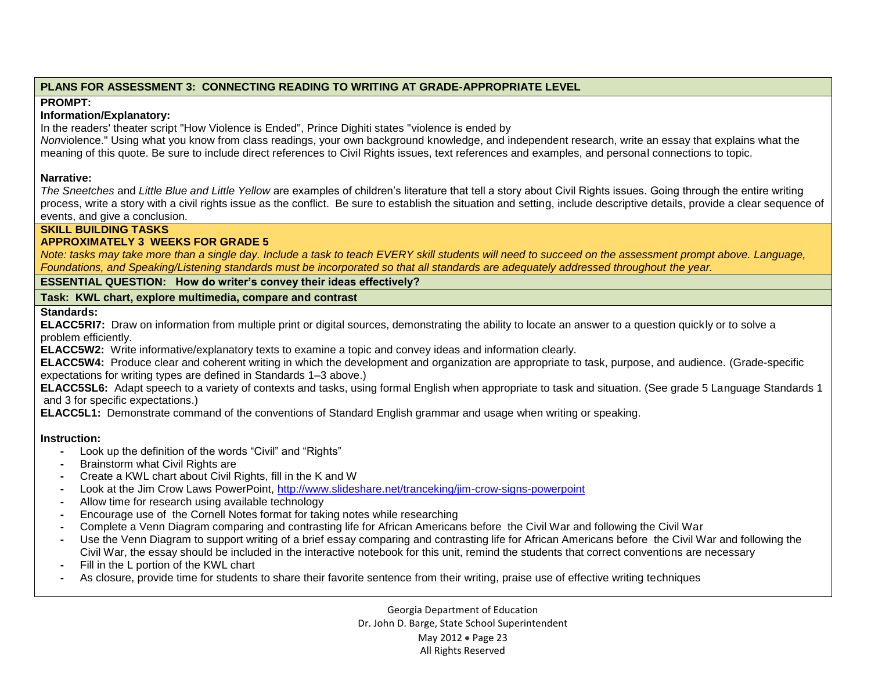# **PLANS FOR ASSESSMENT 3: CONNECTING READING TO WRITING AT GRADE-APPROPRIATE LEVEL**

# **PROMPT:**

## **Information/Explanatory:**

In the readers' theater script "How Violence is Ended", Prince Dighiti states "violence is ended by

*Non*violence." Using what you know from class readings, your own background knowledge, and independent research, write an essay that explains what the meaning of this quote. Be sure to include direct references to Civil Rights issues, text references and examples, and personal connections to topic.

# **Narrative:**

*The Sneetches* and *Little Blue and Little Yellow* are examples of children's literature that tell a story about Civil Rights issues. Going through the entire writing process, write a story with a civil rights issue as the conflict. Be sure to establish the situation and setting, include descriptive details, provide a clear sequence of events, and give a conclusion.

# **SKILL BUILDING TASKS**

# **APPROXIMATELY 3 WEEKS FOR GRADE 5**

*Note: tasks may take more than a single day. Include a task to teach EVERY skill students will need to succeed on the assessment prompt above. Language, Foundations, and Speaking/Listening standards must be incorporated so that all standards are adequately addressed throughout the year.* 

**ESSENTIAL QUESTION: How do writer's convey their ideas effectively?**

# **Task: KWL chart, explore multimedia, compare and contrast**

# **Standards:**

**ELACC5RI7:** Draw on information from multiple print or digital sources, demonstrating the ability to locate an answer to a question quickly or to solve a problem efficiently.

**ELACC5W2:** Write informative/explanatory texts to examine a topic and convey ideas and information clearly.

**ELACC5W4:** Produce clear and coherent writing in which the development and organization are appropriate to task, purpose, and audience. (Grade-specific expectations for writing types are defined in Standards 1–3 above.)

**ELACC5SL6:** Adapt speech to a variety of contexts and tasks, using formal English when appropriate to task and situation. (See grade 5 Language Standards 1 and 3 for specific expectations.)

**ELACC5L1:** Demonstrate command of the conventions of Standard English grammar and usage when writing or speaking.

# **Instruction:**

- **-** Look up the definition of the words "Civil" and "Rights"
- **-** Brainstorm what Civil Rights are
- **-** Create a KWL chart about Civil Rights, fill in the K and W
- **-** Look at the Jim Crow Laws PowerPoint,<http://www.slideshare.net/tranceking/jim-crow-signs-powerpoint>
- **-** Allow time for research using available technology
- **-** Encourage use of the Cornell Notes format for taking notes while researching
- **-** Complete a Venn Diagram comparing and contrasting life for African Americans before the Civil War and following the Civil War
- **-** Use the Venn Diagram to support writing of a brief essay comparing and contrasting life for African Americans before the Civil War and following the Civil War, the essay should be included in the interactive notebook for this unit, remind the students that correct conventions are necessary
- **-** Fill in the L portion of the KWL chart
- **-** As closure, provide time for students to share their favorite sentence from their writing, praise use of effective writing techniques

Georgia Department of Education Dr. John D. Barge, State School Superintendent May 2012 • Page 23 All Rights Reserved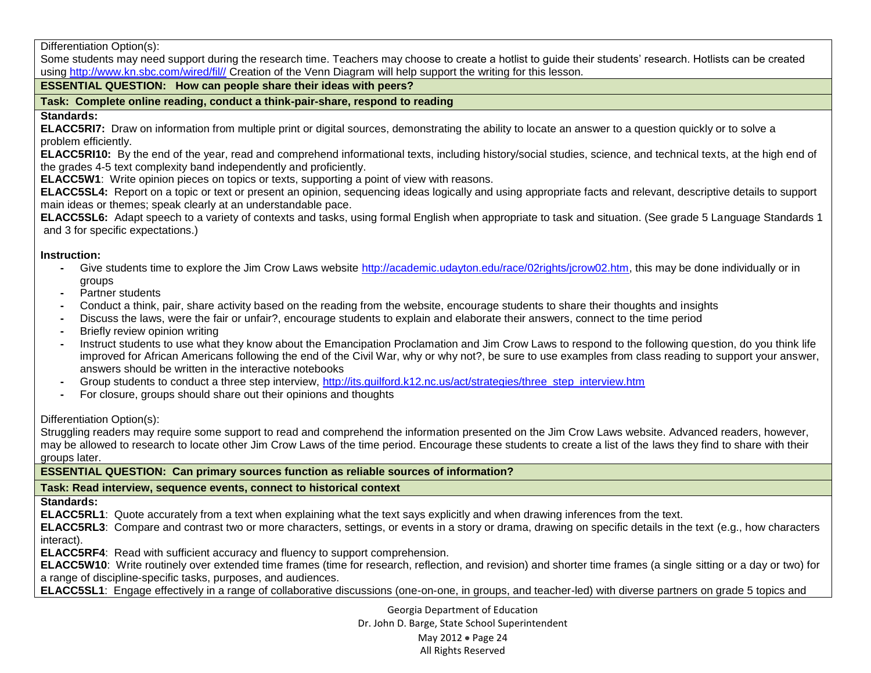Differentiation Option(s):

Some students may need support during the research time. Teachers may choose to create a hotlist to guide their students' research. Hotlists can be created using [http://www.kn.sbc.com/wired/fil//](http://www.kn.sbc.com/wired/fil/) Creation of the Venn Diagram will help support the writing for this lesson.

# **ESSENTIAL QUESTION: How can people share their ideas with peers?**

**Task: Complete online reading, conduct a think-pair-share, respond to reading**

### **Standards:**

**ELACC5RI7:** Draw on information from multiple print or digital sources, demonstrating the ability to locate an answer to a question quickly or to solve a problem efficiently.

**ELACC5RI10:** By the end of the year, read and comprehend informational texts, including history/social studies, science, and technical texts, at the high end of the grades 4-5 text complexity band independently and proficiently.

**ELACC5W1**: Write opinion pieces on topics or texts, supporting a point of view with reasons.

**ELACC5SL4:** Report on a topic or text or present an opinion, sequencing ideas logically and using appropriate facts and relevant, descriptive details to support main ideas or themes; speak clearly at an understandable pace.

**ELACC5SL6:** Adapt speech to a variety of contexts and tasks, using formal English when appropriate to task and situation. (See grade 5 Language Standards 1 and 3 for specific expectations.)

## **Instruction:**

- **-** Give students time to explore the Jim Crow Laws website [http://academic.udayton.edu/race/02rights/jcrow02.htm,](http://academic.udayton.edu/race/02rights/jcrow02.htm) this may be done individually or in groups
- **-** Partner students
- **-** Conduct a think, pair, share activity based on the reading from the website, encourage students to share their thoughts and insights
- **-** Discuss the laws, were the fair or unfair?, encourage students to explain and elaborate their answers, connect to the time period
- **-** Briefly review opinion writing
- **-** Instruct students to use what they know about the Emancipation Proclamation and Jim Crow Laws to respond to the following question, do you think life improved for African Americans following the end of the Civil War, why or why not?, be sure to use examples from class reading to support your answer, answers should be written in the interactive notebooks
- **-** Group students to conduct a three step interview, [http://its.guilford.k12.nc.us/act/strategies/three\\_step\\_interview.htm](http://its.guilford.k12.nc.us/act/strategies/three_step_interview.htm)
- **-** For closure, groups should share out their opinions and thoughts

# Differentiation Option(s):

Struggling readers may require some support to read and comprehend the information presented on the Jim Crow Laws website. Advanced readers, however, may be allowed to research to locate other Jim Crow Laws of the time period. Encourage these students to create a list of the laws they find to share with their groups later.

**ESSENTIAL QUESTION: Can primary sources function as reliable sources of information?**

# **Task: Read interview, sequence events, connect to historical context**

**Standards:** 

**ELACC5RL1**: Quote accurately from a text when explaining what the text says explicitly and when drawing inferences from the text.

**ELACC5RL3**: Compare and contrast two or more characters, settings, or events in a story or drama, drawing on specific details in the text (e.g., how characters interact).

**ELACC5RF4**: Read with sufficient accuracy and fluency to support comprehension.

**ELACC5W10**: Write routinely over extended time frames (time for research, reflection, and revision) and shorter time frames (a single sitting or a day or two) for a range of discipline-specific tasks, purposes, and audiences.

**ELACC5SL1**: Engage effectively in a range of collaborative discussions (one-on-one, in groups, and teacher-led) with diverse partners on grade 5 topics and

Georgia Department of Education Dr. John D. Barge, State School Superintendent May 2012 • Page 24 All Rights Reserved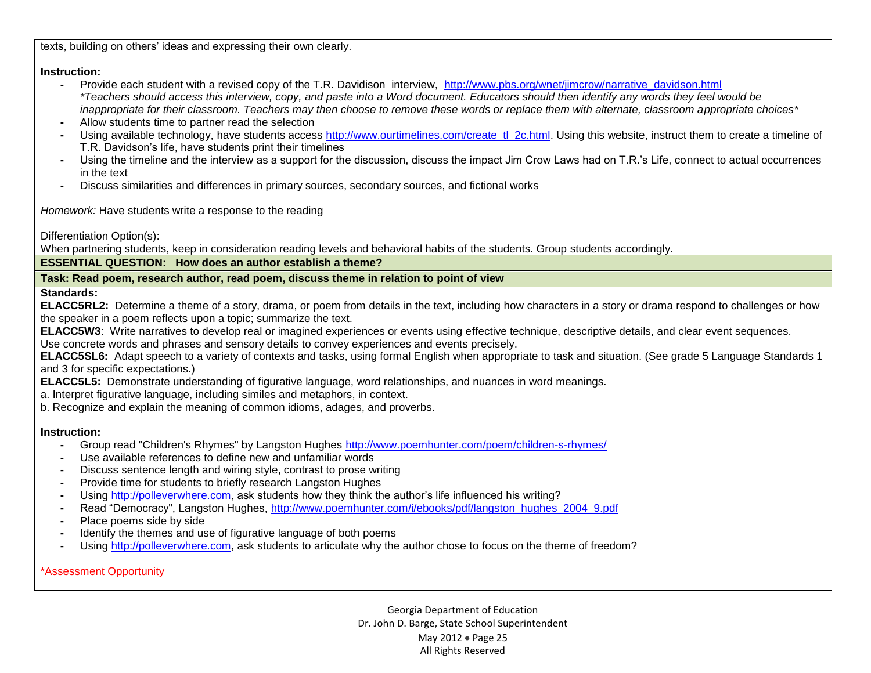texts, building on others' ideas and expressing their own clearly.

### **Instruction:**

- **-** Provide each student with a revised copy of the T.R. Davidison interview, [http://www.pbs.org/wnet/jimcrow/narrative\\_davidson.html](http://www.pbs.org/wnet/jimcrow/narrative_davidson.html) *\*Teachers should access this interview, copy, and paste into a Word document. Educators should then identify any words they feel would be inappropriate for their classroom. Teachers may then choose to remove these words or replace them with alternate, classroom appropriate choices\**
- **-** Allow students time to partner read the selection
- Using available technology, have students access [http://www.ourtimelines.com/create\\_tl\\_2c.html.](http://www.ourtimelines.com/create_tl_2c.html) Using this website, instruct them to create a timeline of T.R. Davidson's life, have students print their timelines
- **-** Using the timeline and the interview as a support for the discussion, discuss the impact Jim Crow Laws had on T.R.'s Life, connect to actual occurrences in the text
- **-** Discuss similarities and differences in primary sources, secondary sources, and fictional works

*Homework:* Have students write a response to the reading

Differentiation Option(s):

When partnering students, keep in consideration reading levels and behavioral habits of the students. Group students accordingly.

**ESSENTIAL QUESTION: How does an author establish a theme?**

**Task: Read poem, research author, read poem, discuss theme in relation to point of view**

**Standards:**

**ELACC5RL2:** Determine a theme of a story, drama, or poem from details in the text, including how characters in a story or drama respond to challenges or how the speaker in a poem reflects upon a topic; summarize the text.

**ELACC5W3**: Write narratives to develop real or imagined experiences or events using effective technique, descriptive details, and clear event sequences.

Use concrete words and phrases and sensory details to convey experiences and events precisely.

**ELACC5SL6:** Adapt speech to a variety of contexts and tasks, using formal English when appropriate to task and situation. (See grade 5 Language Standards 1 and 3 for specific expectations.)

**ELACC5L5:** Demonstrate understanding of figurative language, word relationships, and nuances in word meanings.

a. Interpret figurative language, including similes and metaphors, in context.

b. Recognize and explain the meaning of common idioms, adages, and proverbs.

### **Instruction:**

- **-** Group read "Children's Rhymes" by Langston Hughes<http://www.poemhunter.com/poem/children-s-rhymes/>
- **-** Use available references to define new and unfamiliar words
- **-** Discuss sentence length and wiring style, contrast to prose writing
- **-** Provide time for students to briefly research Langston Hughes
- **-** Using [http://polleverwhere.com,](http://polleverwhere.com/) ask students how they think the author's life influenced his writing?
- **-** Read "Democracy", Langston Hughes, [http://www.poemhunter.com/i/ebooks/pdf/langston\\_hughes\\_2004\\_9.pdf](http://www.poemhunter.com/i/ebooks/pdf/langston_hughes_2004_9.pdf)
- **-** Place poems side by side
- **-** Identify the themes and use of figurative language of both poems
- **-** Using [http://polleverwhere.com,](http://polleverwhere.com/) ask students to articulate why the author chose to focus on the theme of freedom?

\*Assessment Opportunity

Georgia Department of Education Dr. John D. Barge, State School Superintendent May 2012 • Page 25 All Rights Reserved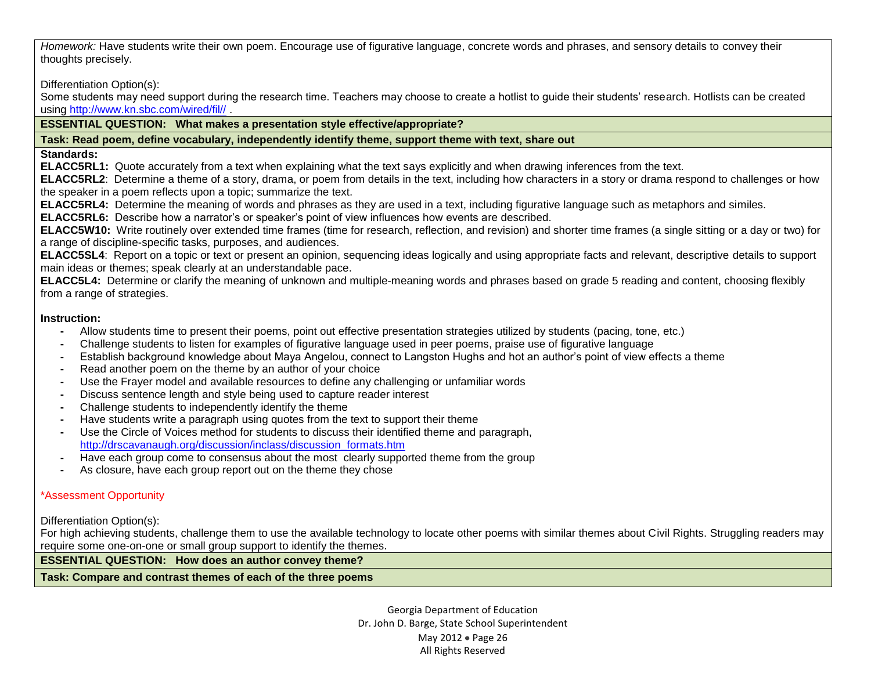*Homework:* Have students write their own poem. Encourage use of figurative language, concrete words and phrases, and sensory details to convey their thoughts precisely.

Differentiation Option(s):

Some students may need support during the research time. Teachers may choose to create a hotlist to guide their students' research. Hotlists can be created using [http://www.kn.sbc.com/wired/fil//](http://www.kn.sbc.com/wired/fil/) .

**ESSENTIAL QUESTION: What makes a presentation style effective/appropriate?**

## **Task: Read poem, define vocabulary, independently identify theme, support theme with text, share out**

### **Standards:**

**ELACC5RL1:** Quote accurately from a text when explaining what the text says explicitly and when drawing inferences from the text.

**ELACC5RL2**: Determine a theme of a story, drama, or poem from details in the text, including how characters in a story or drama respond to challenges or how the speaker in a poem reflects upon a topic; summarize the text.

**ELACC5RL4:** Determine the meaning of words and phrases as they are used in a text, including figurative language such as metaphors and similes.

**ELACC5RL6:** Describe how a narrator's or speaker's point of view influences how events are described.

**ELACC5W10:** Write routinely over extended time frames (time for research, reflection, and revision) and shorter time frames (a single sitting or a day or two) for a range of discipline-specific tasks, purposes, and audiences.

**ELACC5SL4**: Report on a topic or text or present an opinion, sequencing ideas logically and using appropriate facts and relevant, descriptive details to support main ideas or themes; speak clearly at an understandable pace.

**ELACC5L4:** Determine or clarify the meaning of unknown and multiple-meaning words and phrases based on grade 5 reading and content, choosing flexibly from a range of strategies.

# **Instruction:**

- **-** Allow students time to present their poems, point out effective presentation strategies utilized by students (pacing, tone, etc.)
- **-** Challenge students to listen for examples of figurative language used in peer poems, praise use of figurative language
- **-** Establish background knowledge about Maya Angelou, connect to Langston Hughs and hot an author's point of view effects a theme
- **-** Read another poem on the theme by an author of your choice
- **-** Use the Frayer model and available resources to define any challenging or unfamiliar words
- **-** Discuss sentence length and style being used to capture reader interest
- **-** Challenge students to independently identify the theme
- **-** Have students write a paragraph using quotes from the text to support their theme
- **-** Use the Circle of Voices method for students to discuss their identified theme and paragraph, [http://drscavanaugh.org/discussion/inclass/discussion\\_formats.htm](http://drscavanaugh.org/discussion/inclass/discussion_formats.htm)
- **-** Have each group come to consensus about the most clearly supported theme from the group
- **-** As closure, have each group report out on the theme they chose

# \*Assessment Opportunity

Differentiation Option(s):

For high achieving students, challenge them to use the available technology to locate other poems with similar themes about Civil Rights. Struggling readers may require some one-on-one or small group support to identify the themes.

# **ESSENTIAL QUESTION: How does an author convey theme?**

**Task: Compare and contrast themes of each of the three poems**

Georgia Department of Education Dr. John D. Barge, State School Superintendent May 2012 • Page 26 All Rights Reserved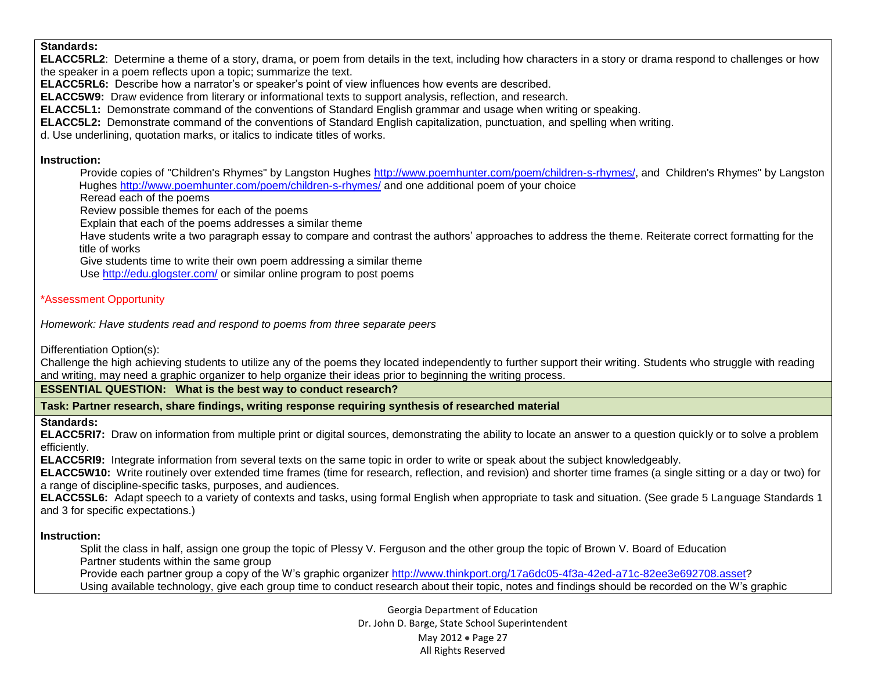#### **Standards:**

**ELACC5RL2**: Determine a theme of a story, drama, or poem from details in the text, including how characters in a story or drama respond to challenges or how the speaker in a poem reflects upon a topic; summarize the text.

**ELACC5RL6:** Describe how a narrator's or speaker's point of view influences how events are described.

**ELACC5W9:** Draw evidence from literary or informational texts to support analysis, reflection, and research.

**ELACC5L1:** Demonstrate command of the conventions of Standard English grammar and usage when writing or speaking.

**ELACC5L2:** Demonstrate command of the conventions of Standard English capitalization, punctuation, and spelling when writing.

d. Use underlining, quotation marks, or italics to indicate titles of works.

### **Instruction:**

**-** Provide copies of "Children's Rhymes" by Langston Hughes [http://www.poemhunter.com/poem/children-s-rhymes/,](http://www.poemhunter.com/poem/children-s-rhymes/) and Children's Rhymes" by Langston Hughes<http://www.poemhunter.com/poem/children-s-rhymes/> and one additional poem of your choice

**-** Reread each of the poems

**-** Review possible themes for each of the poems

**-** Explain that each of the poems addresses a similar theme

**-** Have students write a two paragraph essay to compare and contrast the authors' approaches to address the theme. Reiterate correct formatting for the title of works

**-** Give students time to write their own poem addressing a similar theme

**-** Use<http://edu.glogster.com/> or similar online program to post poems

### \*Assessment Opportunity

*Homework: Have students read and respond to poems from three separate peers*

Differentiation Option(s):

Challenge the high achieving students to utilize any of the poems they located independently to further support their writing. Students who struggle with reading and writing, may need a graphic organizer to help organize their ideas prior to beginning the writing process.

**ESSENTIAL QUESTION: What is the best way to conduct research?**

**Task: Partner research, share findings, writing response requiring synthesis of researched material**

### **Standards:**

**ELACC5RI7:** Draw on information from multiple print or digital sources, demonstrating the ability to locate an answer to a question quickly or to solve a problem efficiently.

**ELACC5RI9:** Integrate information from several texts on the same topic in order to write or speak about the subject knowledgeably.

**ELACC5W10:** Write routinely over extended time frames (time for research, reflection, and revision) and shorter time frames (a single sitting or a day or two) for a range of discipline-specific tasks, purposes, and audiences.

**ELACC5SL6:** Adapt speech to a variety of contexts and tasks, using formal English when appropriate to task and situation. (See grade 5 Language Standards 1 and 3 for specific expectations.)

### **Instruction:**

**-** Split the class in half, assign one group the topic of Plessy V. Ferguson and the other group the topic of Brown V. Board of Education **-** Partner students within the same group

**-** Provide each partner group a copy of the W's graphic organizer [http://www.thinkport.org/17a6dc05-4f3a-42ed-a71c-82ee3e692708.asset?](http://www.thinkport.org/17a6dc05-4f3a-42ed-a71c-82ee3e692708.asset)

**-** Using available technology, give each group time to conduct research about their topic, notes and findings should be recorded on the W's graphic

Georgia Department of Education Dr. John D. Barge, State School Superintendent May 2012 • Page 27 All Rights Reserved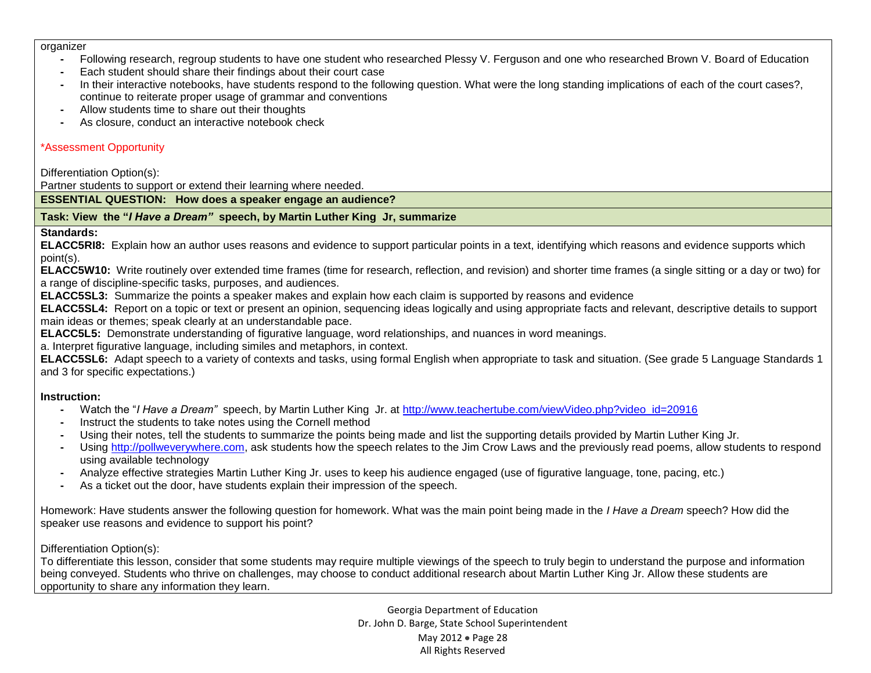#### organizer

- **-** Following research, regroup students to have one student who researched Plessy V. Ferguson and one who researched Brown V. Board of Education
- **-** Each student should share their findings about their court case
- **-** In their interactive notebooks, have students respond to the following question. What were the long standing implications of each of the court cases?, continue to reiterate proper usage of grammar and conventions
- **-** Allow students time to share out their thoughts
- **-** As closure, conduct an interactive notebook check

# \*Assessment Opportunity

Differentiation Option(s):

Partner students to support or extend their learning where needed.

**ESSENTIAL QUESTION: How does a speaker engage an audience?**

## **Task: View the "***I Have a Dream"* **speech, by Martin Luther King Jr, summarize**

### **Standards:**

**ELACC5RI8:** Explain how an author uses reasons and evidence to support particular points in a text, identifying which reasons and evidence supports which point(s).

**ELACC5W10:** Write routinely over extended time frames (time for research, reflection, and revision) and shorter time frames (a single sitting or a day or two) for a range of discipline-specific tasks, purposes, and audiences.

**ELACC5SL3:** Summarize the points a speaker makes and explain how each claim is supported by reasons and evidence

**ELACC5SL4:** Report on a topic or text or present an opinion, sequencing ideas logically and using appropriate facts and relevant, descriptive details to support main ideas or themes; speak clearly at an understandable pace.

**ELACC5L5:** Demonstrate understanding of figurative language, word relationships, and nuances in word meanings.

a. Interpret figurative language, including similes and metaphors, in context.

**ELACC5SL6:** Adapt speech to a variety of contexts and tasks, using formal English when appropriate to task and situation. (See grade 5 Language Standards 1 and 3 for specific expectations.)

# **Instruction:**

- **-** Watch the "*I Have a Dream"* speech, by Martin Luther King Jr. at [http://www.teachertube.com/viewVideo.php?video\\_id=20916](http://www.teachertube.com/viewVideo.php?video_id=20916)
- **-** Instruct the students to take notes using the Cornell method
- **-** Using their notes, tell the students to summarize the points being made and list the supporting details provided by Martin Luther King Jr.
- **-** Using [http://pollweverywhere.com,](http://pollweverywhere.com/) ask students how the speech relates to the Jim Crow Laws and the previously read poems, allow students to respond using available technology
- **-** Analyze effective strategies Martin Luther King Jr. uses to keep his audience engaged (use of figurative language, tone, pacing, etc.)
- **-** As a ticket out the door, have students explain their impression of the speech.

Homework: Have students answer the following question for homework. What was the main point being made in the *I Have a Dream* speech? How did the speaker use reasons and evidence to support his point?

# Differentiation Option(s):

To differentiate this lesson, consider that some students may require multiple viewings of the speech to truly begin to understand the purpose and information being conveyed. Students who thrive on challenges, may choose to conduct additional research about Martin Luther King Jr. Allow these students are opportunity to share any information they learn.

> Georgia Department of Education Dr. John D. Barge, State School Superintendent May 2012 • Page 28 All Rights Reserved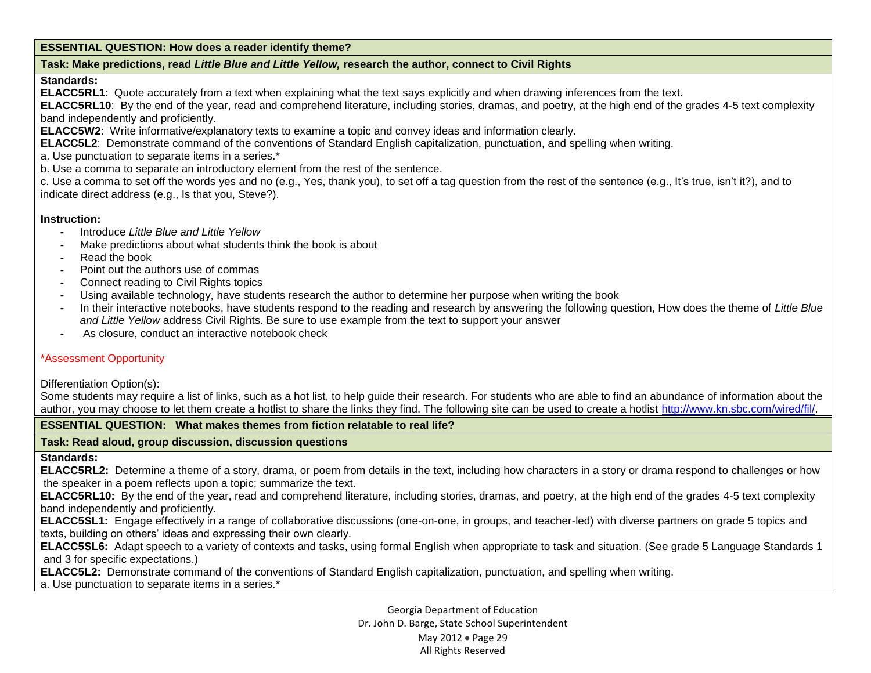#### **ESSENTIAL QUESTION: How does a reader identify theme?**

### **Task: Make predictions, read** *Little Blue and Little Yellow,* **research the author, connect to Civil Rights**

#### **Standards:**

**ELACC5RL1**:Quote accurately from a text when explaining what the text says explicitly and when drawing inferences from the text.

**ELACC5RL10**: By the end of the year, read and comprehend literature, including stories, dramas, and poetry, at the high end of the grades 4-5 text complexity band independently and proficiently.

**ELACC5W2**: Write informative/explanatory texts to examine a topic and convey ideas and information clearly.

**ELACC5L2**: Demonstrate command of the conventions of Standard English capitalization, punctuation, and spelling when writing.

a. Use punctuation to separate items in a series.\*

b. Use a comma to separate an introductory element from the rest of the sentence.

c. Use a comma to set off the words yes and no (e.g., Yes, thank you), to set off a tag question from the rest of the sentence (e.g., It's true, isn't it?), and to indicate direct address (e.g., Is that you, Steve?).

#### **Instruction:**

- **-** Introduce *Little Blue and Little Yellow*
- **-** Make predictions about what students think the book is about
- **-** Read the book
- **-** Point out the authors use of commas
- **-** Connect reading to Civil Rights topics
- **-** Using available technology, have students research the author to determine her purpose when writing the book
- **-** In their interactive notebooks, have students respond to the reading and research by answering the following question, How does the theme of *Little Blue and Little Yellow* address Civil Rights. Be sure to use example from the text to support your answer
- **-** As closure, conduct an interactive notebook check

#### \*Assessment Opportunity

#### Differentiation Option(s):

Some students may require a list of links, such as a hot list, to help guide their research. For students who are able to find an abundance of information about the author, you may choose to let them create a hotlist to share the links they find. The following site can be used to create a hotlist [http://www.kn.sbc.com/wired/fil/.](http://www.kn.sbc.com/wired/fil/)

#### **ESSENTIAL QUESTION: What makes themes from fiction relatable to real life?**

#### **Task: Read aloud, group discussion, discussion questions**

#### **Standards:**

**ELACC5RL2:** Determine a theme of a story, drama, or poem from details in the text, including how characters in a story or drama respond to challenges or how the speaker in a poem reflects upon a topic; summarize the text.

**ELACC5RL10:** By the end of the year, read and comprehend literature, including stories, dramas, and poetry, at the high end of the grades 4-5 text complexity band independently and proficiently.

**ELACC5SL1:** Engage effectively in a range of collaborative discussions (one-on-one, in groups, and teacher-led) with diverse partners on grade 5 topics and texts, building on others' ideas and expressing their own clearly.

**ELACC5SL6:** Adapt speech to a variety of contexts and tasks, using formal English when appropriate to task and situation. (See grade 5 Language Standards 1 and 3 for specific expectations.)

**ELACC5L2:** Demonstrate command of the conventions of Standard English capitalization, punctuation, and spelling when writing.

a. Use punctuation to separate items in a series.\*

Georgia Department of Education Dr. John D. Barge, State School Superintendent May 2012 • Page 29 All Rights Reserved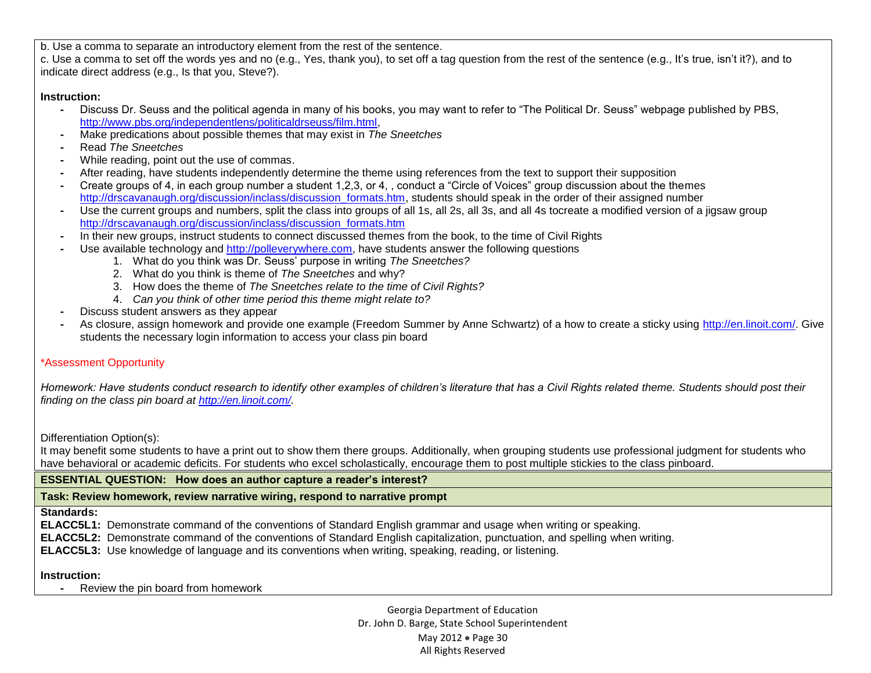b. Use a comma to separate an introductory element from the rest of the sentence.

c. Use a comma to set off the words yes and no (e.g., Yes, thank you), to set off a tag question from the rest of the sentence (e.g., It's true, isn't it?), and to indicate direct address (e.g., Is that you, Steve?).

### **Instruction:**

- **-** Discuss Dr. Seuss and the political agenda in many of his books, you may want to refer to "The Political Dr. Seuss" webpage published by PBS, [http://www.pbs.org/independentlens/politicaldrseuss/film.html,](http://www.pbs.org/independentlens/politicaldrseuss/film.html)
- **-** Make predications about possible themes that may exist in *The Sneetches*
- **-** Read *The Sneetches*
- **-** While reading, point out the use of commas.
- **-** After reading, have students independently determine the theme using references from the text to support their supposition
- **-** Create groups of 4, in each group number a student 1,2,3, or 4, , conduct a "Circle of Voices" group discussion about the themes [http://drscavanaugh.org/discussion/inclass/discussion\\_formats.htm,](http://drscavanaugh.org/discussion/inclass/discussion_formats.htm) students should speak in the order of their assigned number
- **-** Use the current groups and numbers, split the class into groups of all 1s, all 2s, all 3s, and all 4s tocreate a modified version of a jigsaw group [http://drscavanaugh.org/discussion/inclass/discussion\\_formats.htm](http://drscavanaugh.org/discussion/inclass/discussion_formats.htm)
- **-** In their new groups, instruct students to connect discussed themes from the book, to the time of Civil Rights
- **-** Use available technology and [http://polleverywhere.com,](http://polleverywhere.com/) have students answer the following questions
	- 1. What do you think was Dr. Seuss' purpose in writing *The Sneetches?*
	- 2. What do you think is theme of *The Sneetches* and why?
	- 3. How does the theme of *The Sneetches relate to the time of Civil Rights?*
	- 4. *Can you think of other time period this theme might relate to?*
- **-** Discuss student answers as they appear
- **-** As closure, assign homework and provide one example (Freedom Summer by Anne Schwartz) of a how to create a sticky using [http://en.linoit.com/.](http://en.linoit.com/) Give students the necessary login information to access your class pin board

# \*Assessment Opportunity

*Homework: Have students conduct research to identify other examples of children's literature that has a Civil Rights related theme. Students should post their finding on the class pin board at [http://en.linoit.com/.](http://en.linoit.com/)* 

Differentiation Option(s):

It may benefit some students to have a print out to show them there groups. Additionally, when grouping students use professional judgment for students who have behavioral or academic deficits. For students who excel scholastically, encourage them to post multiple stickies to the class pinboard.

### **ESSENTIAL QUESTION: How does an author capture a reader's interest?**

**Task: Review homework, review narrative wiring, respond to narrative prompt**

#### **Standards:**

**ELACC5L1:** Demonstrate command of the conventions of Standard English grammar and usage when writing or speaking.

- **ELACC5L2:** Demonstrate command of the conventions of Standard English capitalization, punctuation, and spelling when writing.
- **ELACC5L3:** Use knowledge of language and its conventions when writing, speaking, reading, or listening.

**Instruction:** 

**-** Review the pin board from homework

Georgia Department of Education Dr. John D. Barge, State School Superintendent May 2012 • Page 30 All Rights Reserved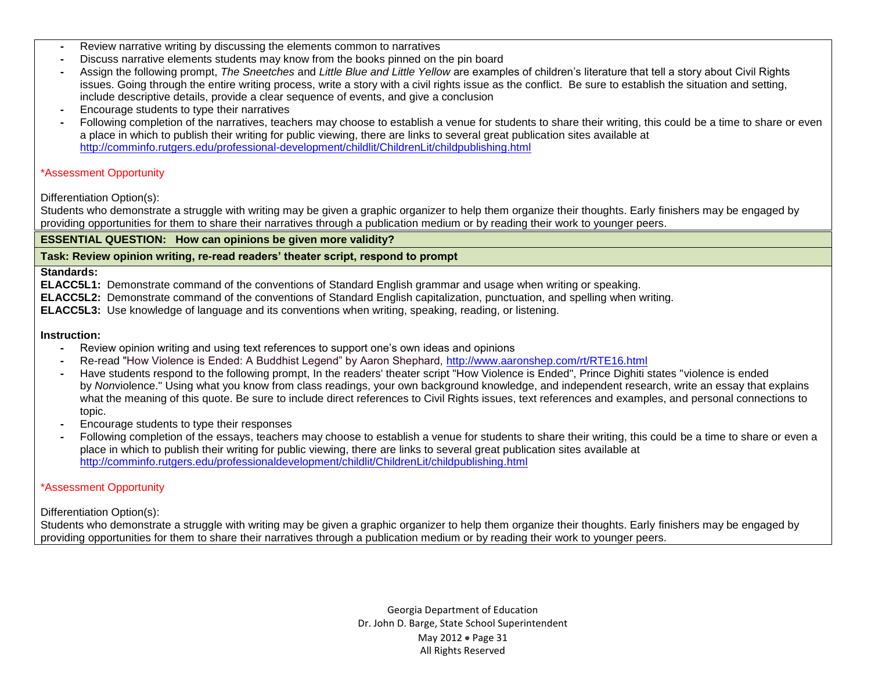- **-** Review narrative writing by discussing the elements common to narratives
- **-** Discuss narrative elements students may know from the books pinned on the pin board
- **-** Assign the following prompt, *The Sneetches* and *Little Blue and Little Yellow* are examples of children's literature that tell a story about Civil Rights issues. Going through the entire writing process, write a story with a civil rights issue as the conflict. Be sure to establish the situation and setting, include descriptive details, provide a clear sequence of events, and give a conclusion
- **-** Encourage students to type their narratives
- **-** Following completion of the narratives, teachers may choose to establish a venue for students to share their writing, this could be a time to share or even a place in which to publish their writing for public viewing, there are links to several great publication sites available at <http://comminfo.rutgers.edu/professional-development/childlit/ChildrenLit/childpublishing.html>

#### \*Assessment Opportunity

#### Differentiation Option(s):

Students who demonstrate a struggle with writing may be given a graphic organizer to help them organize their thoughts. Early finishers may be engaged by providing opportunities for them to share their narratives through a publication medium or by reading their work to younger peers.

#### **ESSENTIAL QUESTION: How can opinions be given more validity?**

#### **Task: Review opinion writing, re-read readers' theater script, respond to prompt**

#### **Standards:**

**ELACC5L1:** Demonstrate command of the conventions of Standard English grammar and usage when writing or speaking.

**ELACC5L2:** Demonstrate command of the conventions of Standard English capitalization, punctuation, and spelling when writing.

**ELACC5L3:** Use knowledge of language and its conventions when writing, speaking, reading, or listening.

#### **Instruction:**

- **-** Review opinion writing and using text references to support one's own ideas and opinions
- **-** Re-read "How Violence is Ended: A Buddhist Legend" by Aaron Shephard,<http://www.aaronshep.com/rt/RTE16.html>
- **-** Have students respond to the following prompt, In the readers' theater script "How Violence is Ended", Prince Dighiti states "violence is ended by *Non*violence." Using what you know from class readings, your own background knowledge, and independent research, write an essay that explains what the meaning of this quote. Be sure to include direct references to Civil Rights issues, text references and examples, and personal connections to topic.
- **-** Encourage students to type their responses
- **-** Following completion of the essays, teachers may choose to establish a venue for students to share their writing, this could be a time to share or even a place in which to publish their writing for public viewing, there are links to several great publication sites available at <http://comminfo.rutgers.edu/professionaldevelopment/childlit/ChildrenLit/childpublishing.html>

#### \*Assessment Opportunity

Differentiation Option(s):

Students who demonstrate a struggle with writing may be given a graphic organizer to help them organize their thoughts. Early finishers may be engaged by providing opportunities for them to share their narratives through a publication medium or by reading their work to younger peers.

> Georgia Department of Education Dr. John D. Barge, State School Superintendent May 2012 • Page 31 All Rights Reserved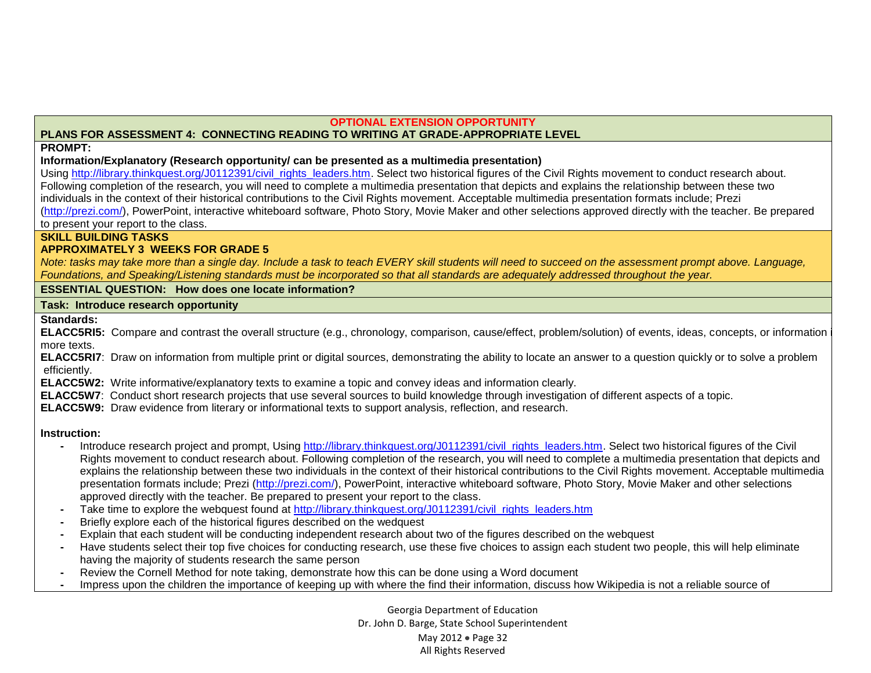#### **OPTIONAL EXTENSION OPPORTUNITY**

## **PLANS FOR ASSESSMENT 4: CONNECTING READING TO WRITING AT GRADE-APPROPRIATE LEVEL**

#### **PROMPT:**

#### **Information/Explanatory (Research opportunity/ can be presented as a multimedia presentation)**

Using [http://library.thinkquest.org/J0112391/civil\\_rights\\_leaders.htm.](http://library.thinkquest.org/J0112391/civil_rights_leaders.htm) Select two historical figures of the Civil Rights movement to conduct research about. Following completion of the research, you will need to complete a multimedia presentation that depicts and explains the relationship between these two individuals in the context of their historical contributions to the Civil Rights movement. Acceptable multimedia presentation formats include; Prezi [\(http://prezi.com/\)](http://prezi.com/), PowerPoint, interactive whiteboard software, Photo Story, Movie Maker and other selections approved directly with the teacher. Be prepared to present your report to the class.

#### **SKILL BUILDING TASKS**

### **APPROXIMATELY 3 WEEKS FOR GRADE 5**

*Note: tasks may take more than a single day. Include a task to teach EVERY skill students will need to succeed on the assessment prompt above. Language, Foundations, and Speaking/Listening standards must be incorporated so that all standards are adequately addressed throughout the year.* 

#### **ESSENTIAL QUESTION: How does one locate information?**

#### **Task: Introduce research opportunity**

### **Standards:**

ELACC5RI5: Compare and contrast the overall structure (e.g., chronology, comparison, cause/effect, problem/solution) of events, ideas, concepts, or information more texts.

**ELACC5RI7**: Draw on information from multiple print or digital sources, demonstrating the ability to locate an answer to a question quickly or to solve a problem efficiently.

**ELACC5W2:** Write informative/explanatory texts to examine a topic and convey ideas and information clearly.

**ELACC5W7**: Conduct short research projects that use several sources to build knowledge through investigation of different aspects of a topic.

**ELACC5W9:** Draw evidence from literary or informational texts to support analysis, reflection, and research.

### **Instruction:**

- Introduce research project and prompt, Using [http://library.thinkquest.org/J0112391/civil\\_rights\\_leaders.htm.](http://library.thinkquest.org/J0112391/civil_rights_leaders.htm) Select two historical figures of the Civil Rights movement to conduct research about. Following completion of the research, you will need to complete a multimedia presentation that depicts and explains the relationship between these two individuals in the context of their historical contributions to the Civil Rights movement. Acceptable multimedia presentation formats include; Prezi [\(http://prezi.com/\)](http://prezi.com/), PowerPoint, interactive whiteboard software, Photo Story, Movie Maker and other selections approved directly with the teacher. Be prepared to present your report to the class.
- **-** Take time to explore the webquest found at [http://library.thinkquest.org/J0112391/civil\\_rights\\_leaders.htm](http://library.thinkquest.org/J0112391/civil_rights_leaders.htm)
- **-** Briefly explore each of the historical figures described on the wedquest
- **-** Explain that each student will be conducting independent research about two of the figures described on the webquest
- **-** Have students select their top five choices for conducting research, use these five choices to assign each student two people, this will help eliminate having the majority of students research the same person
- **-** Review the Cornell Method for note taking, demonstrate how this can be done using a Word document
- **-** Impress upon the children the importance of keeping up with where the find their information, discuss how Wikipedia is not a reliable source of

Georgia Department of Education Dr. John D. Barge, State School Superintendent May 2012 • Page 32 All Rights Reserved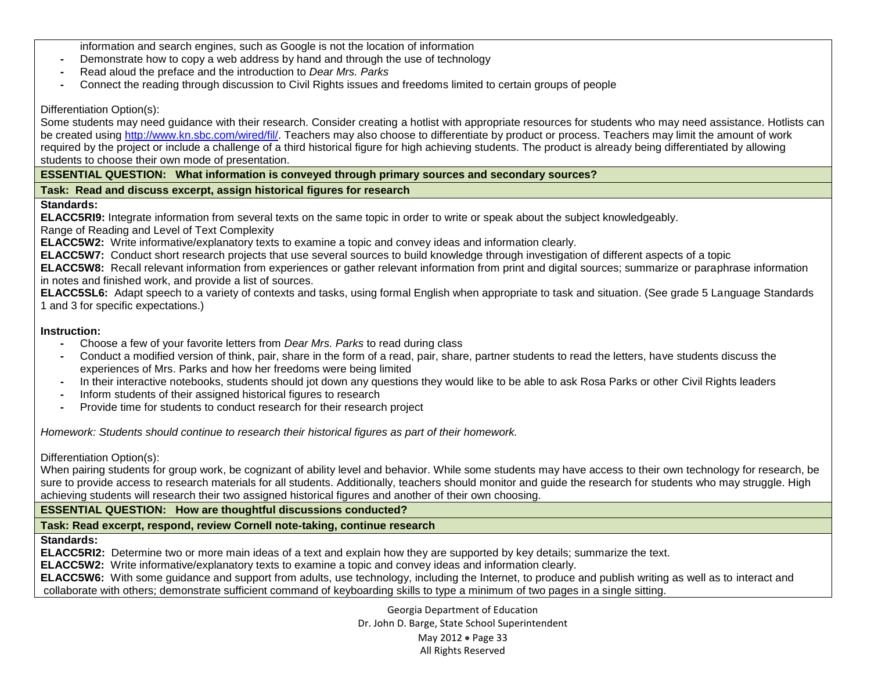information and search engines, such as Google is not the location of information

- **-** Demonstrate how to copy a web address by hand and through the use of technology
- **-** Read aloud the preface and the introduction to *Dear Mrs. Parks*
- **-** Connect the reading through discussion to Civil Rights issues and freedoms limited to certain groups of people

#### Differentiation Option(s):

Some students may need guidance with their research. Consider creating a hotlist with appropriate resources for students who may need assistance. Hotlists can be created using [http://www.kn.sbc.com/wired/fil/.](http://www.kn.sbc.com/wired/fil/) Teachers may also choose to differentiate by product or process. Teachers may limit the amount of work required by the project or include a challenge of a third historical figure for high achieving students. The product is already being differentiated by allowing students to choose their own mode of presentation.

**ESSENTIAL QUESTION: What information is conveyed through primary sources and secondary sources?**

### **Task: Read and discuss excerpt, assign historical figures for research**

### **Standards:**

**ELACC5RI9:** Integrate information from several texts on the same topic in order to write or speak about the subject knowledgeably.

Range of Reading and Level of Text Complexity

**ELACC5W2:** Write informative/explanatory texts to examine a topic and convey ideas and information clearly.

**ELACC5W7:** Conduct short research projects that use several sources to build knowledge through investigation of different aspects of a topic

**ELACC5W8:** Recall relevant information from experiences or gather relevant information from print and digital sources; summarize or paraphrase information in notes and finished work, and provide a list of sources.

**ELACC5SL6:** Adapt speech to a variety of contexts and tasks, using formal English when appropriate to task and situation. (See grade 5 Language Standards 1 and 3 for specific expectations.)

### **Instruction:**

- **-** Choose a few of your favorite letters from *Dear Mrs. Parks* to read during class
- **-** Conduct a modified version of think, pair, share in the form of a read, pair, share, partner students to read the letters, have students discuss the experiences of Mrs. Parks and how her freedoms were being limited
- **-** In their interactive notebooks, students should jot down any questions they would like to be able to ask Rosa Parks or other Civil Rights leaders
- **-** Inform students of their assigned historical figures to research
- **-** Provide time for students to conduct research for their research project

*Homework: Students should continue to research their historical figures as part of their homework.* 

Differentiation Option(s):

When pairing students for group work, be cognizant of ability level and behavior. While some students may have access to their own technology for research, be sure to provide access to research materials for all students. Additionally, teachers should monitor and guide the research for students who may struggle. High achieving students will research their two assigned historical figures and another of their own choosing.

**ESSENTIAL QUESTION: How are thoughtful discussions conducted?**

**Task: Read excerpt, respond, review Cornell note-taking, continue research**

**Standards:** 

**ELACC5RI2:** Determine two or more main ideas of a text and explain how they are supported by key details; summarize the text.

**ELACC5W2:** Write informative/explanatory texts to examine a topic and convey ideas and information clearly.

**ELACC5W6:** With some guidance and support from adults, use technology, including the Internet, to produce and publish writing as well as to interact and collaborate with others; demonstrate sufficient command of keyboarding skills to type a minimum of two pages in a single sitting.

> Georgia Department of Education Dr. John D. Barge, State School Superintendent May 2012 • Page 33 All Rights Reserved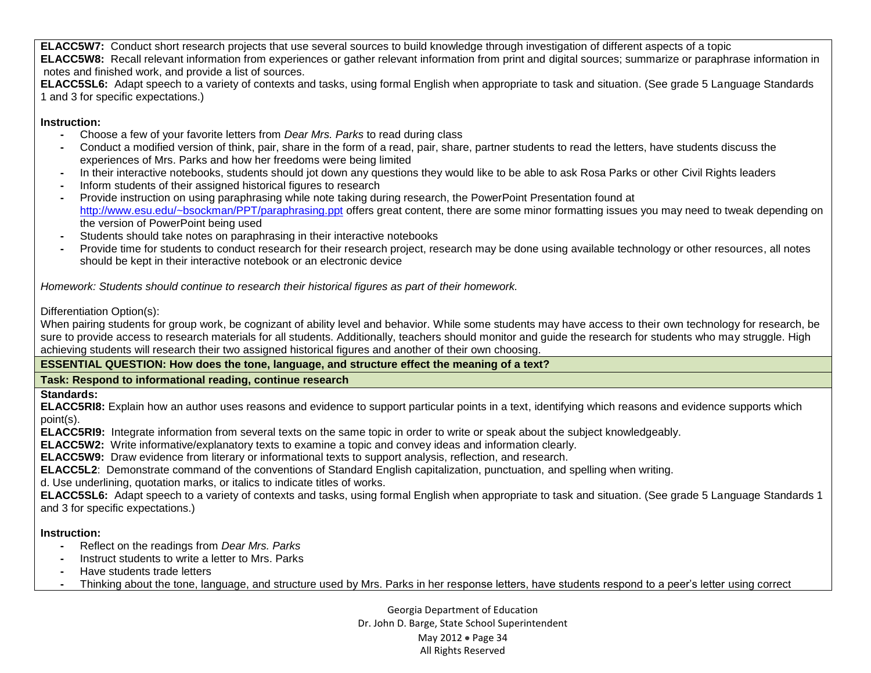**ELACC5W7:** Conduct short research projects that use several sources to build knowledge through investigation of different aspects of a topic **ELACC5W8:** Recall relevant information from experiences or gather relevant information from print and digital sources; summarize or paraphrase information in notes and finished work, and provide a list of sources.

**ELACC5SL6:** Adapt speech to a variety of contexts and tasks, using formal English when appropriate to task and situation. (See grade 5 Language Standards 1 and 3 for specific expectations.)

# **Instruction:**

- **-** Choose a few of your favorite letters from *Dear Mrs. Parks* to read during class
- **-** Conduct a modified version of think, pair, share in the form of a read, pair, share, partner students to read the letters, have students discuss the experiences of Mrs. Parks and how her freedoms were being limited
- **-** In their interactive notebooks, students should jot down any questions they would like to be able to ask Rosa Parks or other Civil Rights leaders
- **-** Inform students of their assigned historical figures to research
- **-** Provide instruction on using paraphrasing while note taking during research, the PowerPoint Presentation found at <http://www.esu.edu/~bsockman/PPT/paraphrasing.ppt> offers great content, there are some minor formatting issues you may need to tweak depending on the version of PowerPoint being used
- **-** Students should take notes on paraphrasing in their interactive notebooks
- **-** Provide time for students to conduct research for their research project, research may be done using available technology or other resources, all notes should be kept in their interactive notebook or an electronic device

*Homework: Students should continue to research their historical figures as part of their homework.* 

# Differentiation Option(s):

When pairing students for group work, be cognizant of ability level and behavior. While some students may have access to their own technology for research, be sure to provide access to research materials for all students. Additionally, teachers should monitor and guide the research for students who may struggle. High achieving students will research their two assigned historical figures and another of their own choosing.

**ESSENTIAL QUESTION: How does the tone, language, and structure effect the meaning of a text?** 

# **Task: Respond to informational reading, continue research**

**Standards:**

**ELACC5RI8:** Explain how an author uses reasons and evidence to support particular points in a text, identifying which reasons and evidence supports which point(s).

**ELACC5RI9:** Integrate information from several texts on the same topic in order to write or speak about the subject knowledgeably.

**ELACC5W2:** Write informative/explanatory texts to examine a topic and convey ideas and information clearly.

**ELACC5W9:** Draw evidence from literary or informational texts to support analysis, reflection, and research.

**ELACC5L2**: Demonstrate command of the conventions of Standard English capitalization, punctuation, and spelling when writing.

d. Use underlining, quotation marks, or italics to indicate titles of works.

**ELACC5SL6:** Adapt speech to a variety of contexts and tasks, using formal English when appropriate to task and situation. (See grade 5 Language Standards 1 and 3 for specific expectations.)

# **Instruction:**

- **-** Reflect on the readings from *Dear Mrs. Parks*
- **-** Instruct students to write a letter to Mrs. Parks
- **-** Have students trade letters
- **-** Thinking about the tone, language, and structure used by Mrs. Parks in her response letters, have students respond to a peer's letter using correct

Georgia Department of Education Dr. John D. Barge, State School Superintendent May 2012 • Page 34 All Rights Reserved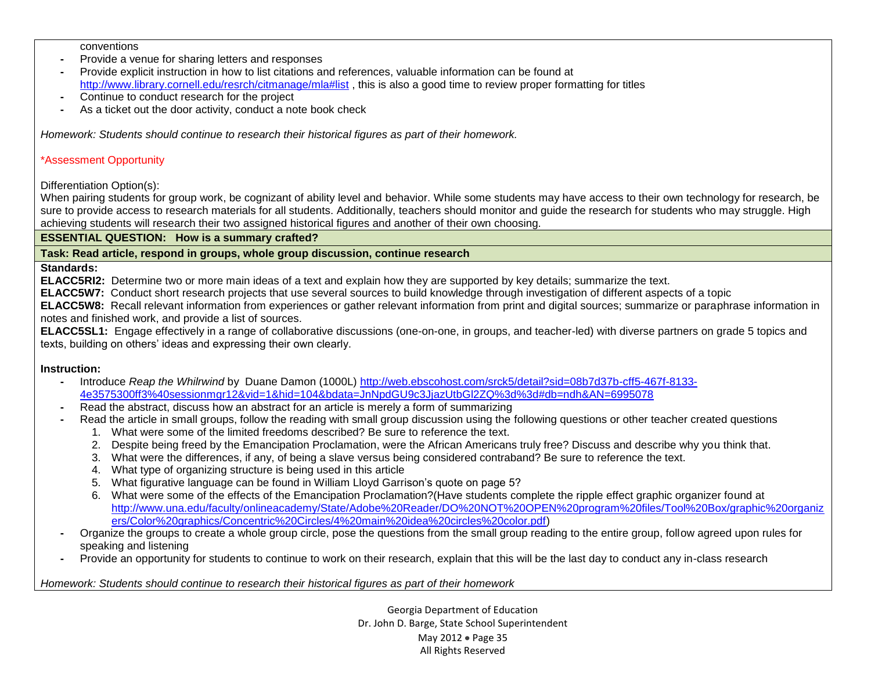conventions

- **-** Provide a venue for sharing letters and responses
- **-** Provide explicit instruction in how to list citations and references, valuable information can be found at <http://www.library.cornell.edu/resrch/citmanage/mla#list> , this is also a good time to review proper formatting for titles
- **-** Continue to conduct research for the project
- **-** As a ticket out the door activity, conduct a note book check

*Homework: Students should continue to research their historical figures as part of their homework.* 

# \*Assessment Opportunity

Differentiation Option(s):

When pairing students for group work, be cognizant of ability level and behavior. While some students may have access to their own technology for research, be sure to provide access to research materials for all students. Additionally, teachers should monitor and quide the research for students who may struggle. High achieving students will research their two assigned historical figures and another of their own choosing.

**ESSENTIAL QUESTION: How is a summary crafted?**

**Task: Read article, respond in groups, whole group discussion, continue research**

**Standards:**

**ELACC5RI2:** Determine two or more main ideas of a text and explain how they are supported by key details; summarize the text.

**ELACC5W7:** Conduct short research projects that use several sources to build knowledge through investigation of different aspects of a topic

**ELACC5W8:** Recall relevant information from experiences or gather relevant information from print and digital sources; summarize or paraphrase information in notes and finished work, and provide a list of sources.

**ELACC5SL1:** Engage effectively in a range of collaborative discussions (one-on-one, in groups, and teacher-led) with diverse partners on grade 5 topics and texts, building on others' ideas and expressing their own clearly.

### **Instruction:**

- **-** Introduce *Reap the Whilrwind* by Duane Damon (1000L) [http://web.ebscohost.com/srck5/detail?sid=08b7d37b-cff5-467f-8133-](http://web.ebscohost.com/srck5/detail?sid=08b7d37b-cff5-467f-8133-4e3575300ff3%40sessionmgr12&vid=1&hid=104&bdata=JnNpdGU9c3JjazUtbGl2ZQ%3d%3d#db=ndh&AN=6995078) [4e3575300ff3%40sessionmgr12&vid=1&hid=104&bdata=JnNpdGU9c3JjazUtbGl2ZQ%3d%3d#db=ndh&AN=6995078](http://web.ebscohost.com/srck5/detail?sid=08b7d37b-cff5-467f-8133-4e3575300ff3%40sessionmgr12&vid=1&hid=104&bdata=JnNpdGU9c3JjazUtbGl2ZQ%3d%3d#db=ndh&AN=6995078)
- **-** Read the abstract, discuss how an abstract for an article is merely a form of summarizing
- **-** Read the article in small groups, follow the reading with small group discussion using the following questions or other teacher created questions
	- 1. What were some of the limited freedoms described? Be sure to reference the text.
	- 2. Despite being freed by the Emancipation Proclamation, were the African Americans truly free? Discuss and describe why you think that.
	- 3. What were the differences, if any, of being a slave versus being considered contraband? Be sure to reference the text.
	- 4. What type of organizing structure is being used in this article
	- 5. What figurative language can be found in William Lloyd Garrison's quote on page 5?
	- 6. What were some of the effects of the Emancipation Proclamation?(Have students complete the ripple effect graphic organizer found at [http://www.una.edu/faculty/onlineacademy/State/Adobe%20Reader/DO%20NOT%20OPEN%20program%20files/Tool%20Box/graphic%20organiz](http://www.una.edu/faculty/onlineacademy/State/Adobe%20Reader/DO%20NOT%20OPEN%20program%20files/Tool%20Box/graphic%20organizers/Color%20graphics/Concentric%20Circles/4%20main%20idea%20circles%20color.pdf) [ers/Color%20graphics/Concentric%20Circles/4%20main%20idea%20circles%20color.pdf\)](http://www.una.edu/faculty/onlineacademy/State/Adobe%20Reader/DO%20NOT%20OPEN%20program%20files/Tool%20Box/graphic%20organizers/Color%20graphics/Concentric%20Circles/4%20main%20idea%20circles%20color.pdf)
- **-** Organize the groups to create a whole group circle, pose the questions from the small group reading to the entire group, follow agreed upon rules for speaking and listening
- **-** Provide an opportunity for students to continue to work on their research, explain that this will be the last day to conduct any in-class research

*Homework: Students should continue to research their historical figures as part of their homework*

Georgia Department of Education Dr. John D. Barge, State School Superintendent May 2012 • Page 35 All Rights Reserved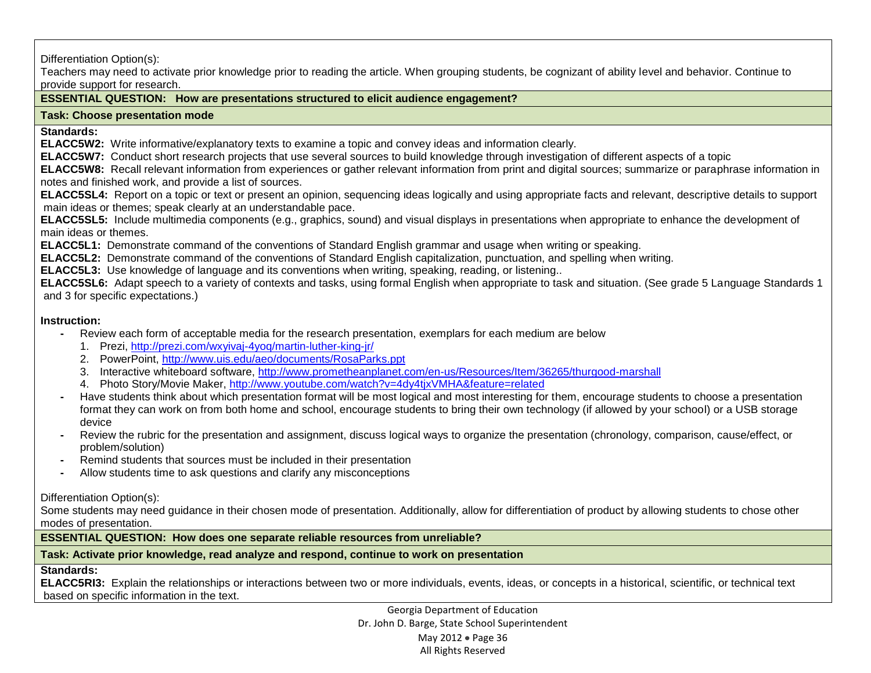Differentiation Option(s):

Teachers may need to activate prior knowledge prior to reading the article. When grouping students, be cognizant of ability level and behavior. Continue to provide support for research.

## **ESSENTIAL QUESTION: How are presentations structured to elicit audience engagement?**

#### **Task: Choose presentation mode**

**Standards:** 

**ELACC5W2:** Write informative/explanatory texts to examine a topic and convey ideas and information clearly.

**ELACC5W7:** Conduct short research projects that use several sources to build knowledge through investigation of different aspects of a topic

**ELACC5W8:** Recall relevant information from experiences or gather relevant information from print and digital sources; summarize or paraphrase information in notes and finished work, and provide a list of sources.

**ELACC5SL4:** Report on a topic or text or present an opinion, sequencing ideas logically and using appropriate facts and relevant, descriptive details to support main ideas or themes; speak clearly at an understandable pace.

**ELACC5SL5:** Include multimedia components (e.g., graphics, sound) and visual displays in presentations when appropriate to enhance the development of main ideas or themes.

**ELACC5L1:** Demonstrate command of the conventions of Standard English grammar and usage when writing or speaking.

**ELACC5L2:** Demonstrate command of the conventions of Standard English capitalization, punctuation, and spelling when writing.

**ELACC5L3:** Use knowledge of language and its conventions when writing, speaking, reading, or listening..

**ELACC5SL6:** Adapt speech to a variety of contexts and tasks, using formal English when appropriate to task and situation. (See grade 5 Language Standards 1 and 3 for specific expectations.)

#### **Instruction:**

**-** Review each form of acceptable media for the research presentation, exemplars for each medium are below

- 1. Prezi,<http://prezi.com/wxyivaj-4yoq/martin-luther-king-jr/>
- 2. PowerPoint,<http://www.uis.edu/aeo/documents/RosaParks.ppt>
- 3. Interactive whiteboard software,<http://www.prometheanplanet.com/en-us/Resources/Item/36265/thurgood-marshall>
- 4. Photo Story/Movie Maker,<http://www.youtube.com/watch?v=4dy4tjxVMHA&feature=related>
- **-** Have students think about which presentation format will be most logical and most interesting for them, encourage students to choose a presentation format they can work on from both home and school, encourage students to bring their own technology (if allowed by your school) or a USB storage device
- **-** Review the rubric for the presentation and assignment, discuss logical ways to organize the presentation (chronology, comparison, cause/effect, or problem/solution)
- **-** Remind students that sources must be included in their presentation
- **-** Allow students time to ask questions and clarify any misconceptions

Differentiation Option(s):

Some students may need guidance in their chosen mode of presentation. Additionally, allow for differentiation of product by allowing students to chose other modes of presentation.

**ESSENTIAL QUESTION: How does one separate reliable resources from unreliable?**

### **Task: Activate prior knowledge, read analyze and respond, continue to work on presentation**

### **Standards:**

**ELACC5RI3:** Explain the relationships or interactions between two or more individuals, events, ideas, or concepts in a historical, scientific, or technical text based on specific information in the text.

> Georgia Department of Education Dr. John D. Barge, State School Superintendent May 2012 • Page 36 All Rights Reserved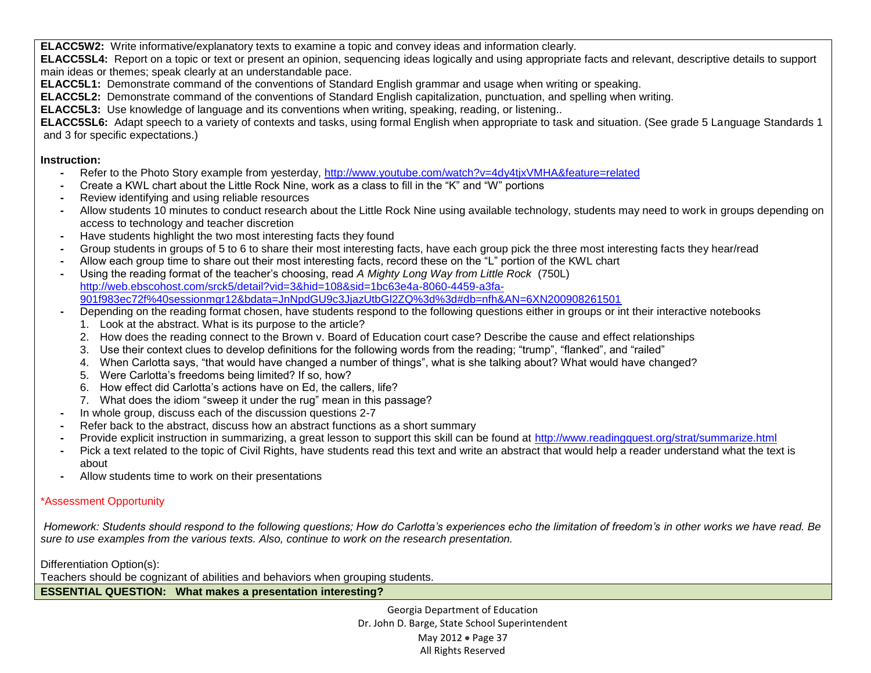**ELACC5W2:** Write informative/explanatory texts to examine a topic and convey ideas and information clearly.

**ELACC5SL4:** Report on a topic or text or present an opinion, sequencing ideas logically and using appropriate facts and relevant, descriptive details to support main ideas or themes; speak clearly at an understandable pace.

**ELACC5L1:** Demonstrate command of the conventions of Standard English grammar and usage when writing or speaking.

**ELACC5L2:** Demonstrate command of the conventions of Standard English capitalization, punctuation, and spelling when writing.

**ELACC5L3:** Use knowledge of language and its conventions when writing, speaking, reading, or listening..

**ELACC5SL6:** Adapt speech to a variety of contexts and tasks, using formal English when appropriate to task and situation. (See grade 5 Language Standards 1 and 3 for specific expectations.)

## **Instruction:**

- **-** Refer to the Photo Story example from yesterday,<http://www.youtube.com/watch?v=4dy4tjxVMHA&feature=related>
- **-** Create a KWL chart about the Little Rock Nine, work as a class to fill in the "K" and "W" portions
- **-** Review identifying and using reliable resources
- **-** Allow students 10 minutes to conduct research about the Little Rock Nine using available technology, students may need to work in groups depending on access to technology and teacher discretion
- **-** Have students highlight the two most interesting facts they found
- **-** Group students in groups of 5 to 6 to share their most interesting facts, have each group pick the three most interesting facts they hear/read
- **-** Allow each group time to share out their most interesting facts, record these on the "L" portion of the KWL chart
- **-** Using the reading format of the teacher's choosing, read *A Mighty Long Way from Little Rock* (750L) [http://web.ebscohost.com/srck5/detail?vid=3&hid=108&sid=1bc63e4a-8060-4459-a3fa-](http://web.ebscohost.com/srck5/detail?vid=3&hid=108&sid=1bc63e4a-8060-4459-a3fa-901f983ec72f%40sessionmgr12&bdata=JnNpdGU9c3JjazUtbGl2ZQ%3d%3d#db=nfh&AN=6XN200908261501)[901f983ec72f%40sessionmgr12&bdata=JnNpdGU9c3JjazUtbGl2ZQ%3d%3d#db=nfh&AN=6XN200908261501](http://web.ebscohost.com/srck5/detail?vid=3&hid=108&sid=1bc63e4a-8060-4459-a3fa-901f983ec72f%40sessionmgr12&bdata=JnNpdGU9c3JjazUtbGl2ZQ%3d%3d#db=nfh&AN=6XN200908261501)
- **-** Depending on the reading format chosen, have students respond to the following questions either in groups or int their interactive notebooks
	- 1. Look at the abstract. What is its purpose to the article?
	- 2. How does the reading connect to the Brown v. Board of Education court case? Describe the cause and effect relationships
	- 3. Use their context clues to develop definitions for the following words from the reading; "trump", "flanked", and "railed"
	- 4. When Carlotta says, "that would have changed a number of things", what is she talking about? What would have changed?
	- 5. Were Carlotta's freedoms being limited? If so, how?
	- 6. How effect did Carlotta's actions have on Ed, the callers, life?
	- 7. What does the idiom "sweep it under the rug" mean in this passage?
- **-** In whole group, discuss each of the discussion questions 2-7
- **-** Refer back to the abstract, discuss how an abstract functions as a short summary
- **-** Provide explicit instruction in summarizing, a great lesson to support this skill can be found at<http://www.readingquest.org/strat/summarize.html>
- **-** Pick a text related to the topic of Civil Rights, have students read this text and write an abstract that would help a reader understand what the text is about
- **-** Allow students time to work on their presentations

# \*Assessment Opportunity

*Homework: Students should respond to the following questions; How do Carlotta's experiences echo the limitation of freedom's in other works we have read. Be sure to use examples from the various texts. Also, continue to work on the research presentation.* 

Differentiation Option(s):

Teachers should be cognizant of abilities and behaviors when grouping students.

**ESSENTIAL QUESTION: What makes a presentation interesting?**

Georgia Department of Education Dr. John D. Barge, State School Superintendent May 2012 • Page 37 All Rights Reserved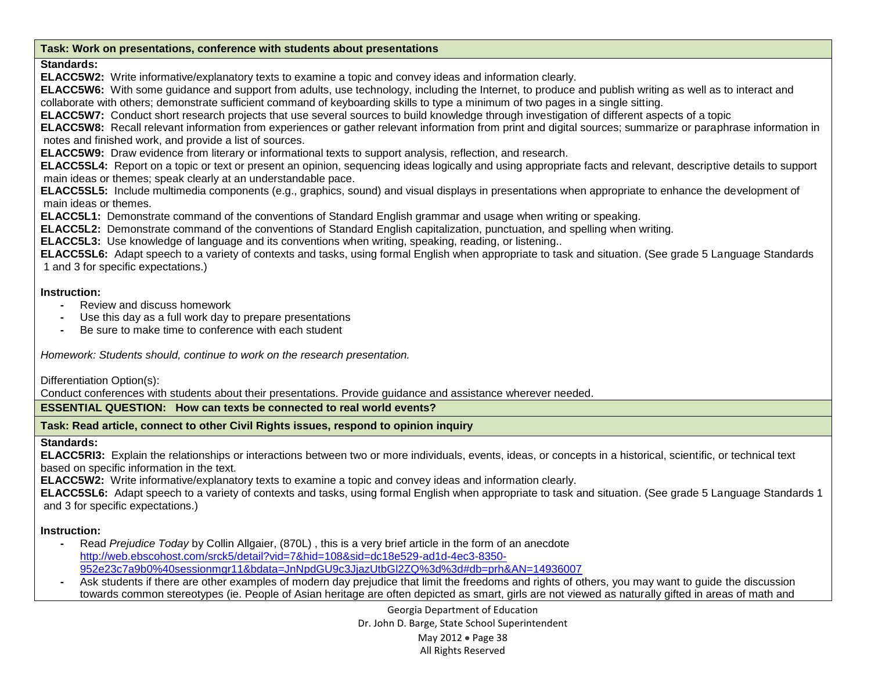#### **Task: Work on presentations, conference with students about presentations**

### **Standards:**

**ELACC5W2:** Write informative/explanatory texts to examine a topic and convey ideas and information clearly.

**ELACC5W6:** With some guidance and support from adults, use technology, including the Internet, to produce and publish writing as well as to interact and collaborate with others; demonstrate sufficient command of keyboarding skills to type a minimum of two pages in a single sitting.

**ELACC5W7:** Conduct short research projects that use several sources to build knowledge through investigation of different aspects of a topic

**ELACC5W8:** Recall relevant information from experiences or gather relevant information from print and digital sources; summarize or paraphrase information in notes and finished work, and provide a list of sources.

**ELACC5W9:** Draw evidence from literary or informational texts to support analysis, reflection, and research.

**ELACC5SL4:** Report on a topic or text or present an opinion, sequencing ideas logically and using appropriate facts and relevant, descriptive details to support main ideas or themes; speak clearly at an understandable pace.

**ELACC5SL5:** Include multimedia components (e.g., graphics, sound) and visual displays in presentations when appropriate to enhance the development of main ideas or themes.

**ELACC5L1:** Demonstrate command of the conventions of Standard English grammar and usage when writing or speaking.

**ELACC5L2:** Demonstrate command of the conventions of Standard English capitalization, punctuation, and spelling when writing.

**ELACC5L3:** Use knowledge of language and its conventions when writing, speaking, reading, or listening..

**ELACC5SL6:** Adapt speech to a variety of contexts and tasks, using formal English when appropriate to task and situation. (See grade 5 Language Standards 1 and 3 for specific expectations.)

## **Instruction:**

- **-** Review and discuss homework
- **-** Use this day as a full work day to prepare presentations
- **-** Be sure to make time to conference with each student

*Homework: Students should, continue to work on the research presentation.* 

Differentiation Option(s):

Conduct conferences with students about their presentations. Provide guidance and assistance wherever needed.

### **ESSENTIAL QUESTION: How can texts be connected to real world events?**

**Task: Read article, connect to other Civil Rights issues, respond to opinion inquiry**

### **Standards:**

**ELACC5RI3:** Explain the relationships or interactions between two or more individuals, events, ideas, or concepts in a historical, scientific, or technical text based on specific information in the text.

**ELACC5W2:** Write informative/explanatory texts to examine a topic and convey ideas and information clearly.

**ELACC5SL6:** Adapt speech to a variety of contexts and tasks, using formal English when appropriate to task and situation. (See grade 5 Language Standards 1 and 3 for specific expectations.)

# **Instruction:**

- **-** Read *Prejudice Today* by Collin Allgaier, (870L) , this is a very brief article in the form of an anecdote [http://web.ebscohost.com/srck5/detail?vid=7&hid=108&sid=dc18e529-ad1d-4ec3-8350-](http://web.ebscohost.com/srck5/detail?vid=7&hid=108&sid=dc18e529-ad1d-4ec3-8350-952e23c7a9b0%40sessionmgr11&bdata=JnNpdGU9c3JjazUtbGl2ZQ%3d%3d#db=prh&AN=14936007) [952e23c7a9b0%40sessionmgr11&bdata=JnNpdGU9c3JjazUtbGl2ZQ%3d%3d#db=prh&AN=14936007](http://web.ebscohost.com/srck5/detail?vid=7&hid=108&sid=dc18e529-ad1d-4ec3-8350-952e23c7a9b0%40sessionmgr11&bdata=JnNpdGU9c3JjazUtbGl2ZQ%3d%3d#db=prh&AN=14936007)
- **-** Ask students if there are other examples of modern day prejudice that limit the freedoms and rights of others, you may want to guide the discussion towards common stereotypes (ie. People of Asian heritage are often depicted as smart, girls are not viewed as naturally gifted in areas of math and

Georgia Department of Education Dr. John D. Barge, State School Superintendent May 2012 • Page 38 All Rights Reserved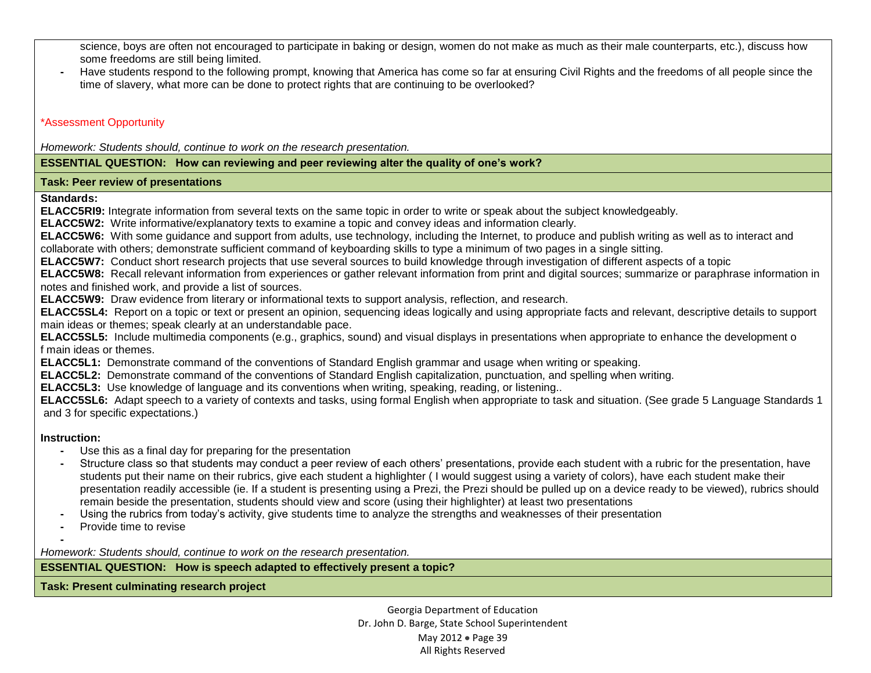science, boys are often not encouraged to participate in baking or design, women do not make as much as their male counterparts, etc.), discuss how some freedoms are still being limited.

**-** Have students respond to the following prompt, knowing that America has come so far at ensuring Civil Rights and the freedoms of all people since the time of slavery, what more can be done to protect rights that are continuing to be overlooked?

### \*Assessment Opportunity

*Homework: Students should, continue to work on the research presentation.* 

#### **ESSENTIAL QUESTION: How can reviewing and peer reviewing alter the quality of one's work?**

#### **Task: Peer review of presentations**

**Standards:** 

**ELACC5RI9:** Integrate information from several texts on the same topic in order to write or speak about the subject knowledgeably.

**ELACC5W2:** Write informative/explanatory texts to examine a topic and convey ideas and information clearly.

**ELACC5W6:** With some guidance and support from adults, use technology, including the Internet, to produce and publish writing as well as to interact and collaborate with others; demonstrate sufficient command of keyboarding skills to type a minimum of two pages in a single sitting.

**ELACC5W7:** Conduct short research projects that use several sources to build knowledge through investigation of different aspects of a topic

**ELACC5W8:** Recall relevant information from experiences or gather relevant information from print and digital sources; summarize or paraphrase information in notes and finished work, and provide a list of sources.

**ELACC5W9:** Draw evidence from literary or informational texts to support analysis, reflection, and research.

**ELACC5SL4:** Report on a topic or text or present an opinion, sequencing ideas logically and using appropriate facts and relevant, descriptive details to support main ideas or themes; speak clearly at an understandable pace.

**ELACC5SL5:** Include multimedia components (e.g., graphics, sound) and visual displays in presentations when appropriate to enhance the development o f main ideas or themes.

**ELACC5L1:** Demonstrate command of the conventions of Standard English grammar and usage when writing or speaking.

**ELACC5L2:** Demonstrate command of the conventions of Standard English capitalization, punctuation, and spelling when writing.

**ELACC5L3:** Use knowledge of language and its conventions when writing, speaking, reading, or listening..

**ELACC5SL6:** Adapt speech to a variety of contexts and tasks, using formal English when appropriate to task and situation. (See grade 5 Language Standards 1 and 3 for specific expectations.)

### **Instruction:**

- **-** Use this as a final day for preparing for the presentation
- **-** Structure class so that students may conduct a peer review of each others' presentations, provide each student with a rubric for the presentation, have students put their name on their rubrics, give each student a highlighter ( I would suggest using a variety of colors), have each student make their presentation readily accessible (ie. If a student is presenting using a Prezi, the Prezi should be pulled up on a device ready to be viewed), rubrics should remain beside the presentation, students should view and score (using their highlighter) at least two presentations
- **-** Using the rubrics from today's activity, give students time to analyze the strengths and weaknesses of their presentation
- **-** Provide time to revise

**-** *Homework: Students should, continue to work on the research presentation.* 

**ESSENTIAL QUESTION: How is speech adapted to effectively present a topic?**

**Task: Present culminating research project**

Georgia Department of Education Dr. John D. Barge, State School Superintendent May 2012 • Page 39 All Rights Reserved